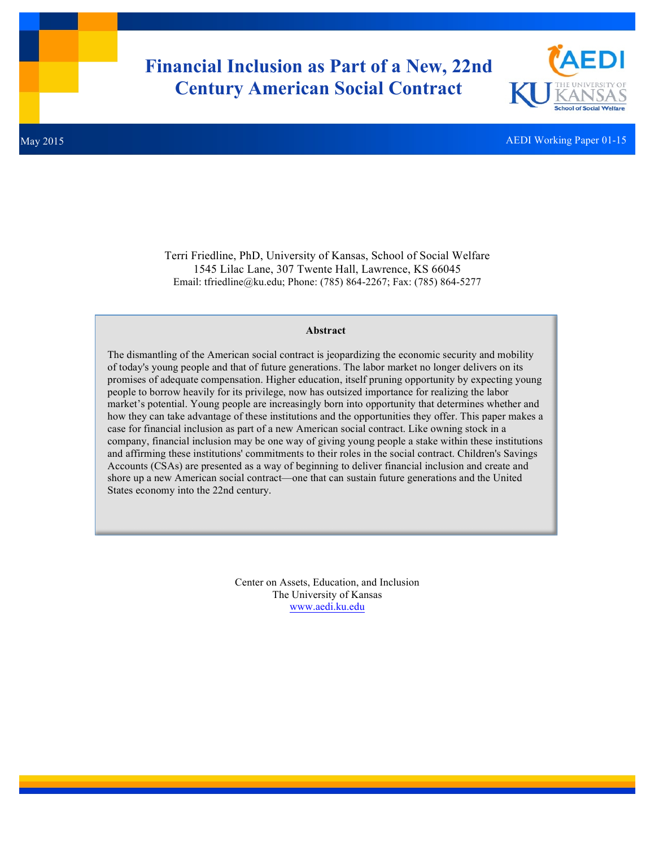# **Financial Inclusion as Part of a New, 22nd Century American Social Contract**



May 2015 AEDI Working Paper 01-15

Terri Friedline, PhD, University of Kansas, School of Social Welfare 1545 Lilac Lane, 307 Twente Hall, Lawrence, KS 66045 Email: tfriedline@ku.edu; Phone: (785) 864-2267; Fax: (785) 864-5277

## **Abstract**

The dismantling of the American social contract is jeopardizing the economic security and mobility of today's young people and that of future generations. The labor market no longer delivers on its promises of adequate compensation. Higher education, itself pruning opportunity by expecting young people to borrow heavily for its privilege, now has outsized importance for realizing the labor market's potential. Young people are increasingly born into opportunity that determines whether and how they can take advantage of these institutions and the opportunities they offer. This paper makes a case for financial inclusion as part of a new American social contract. Like owning stock in a company, financial inclusion may be one way of giving young people a stake within these institutions and affirming these institutions' commitments to their roles in the social contract. Children's Savings Accounts (CSAs) are presented as a way of beginning to deliver financial inclusion and create and shore up a new American social contract—one that can sustain future generations and the United States economy into the 22nd century.

> Center on Assets, Education, and Inclusion The University of Kansas www.aedi.ku.edu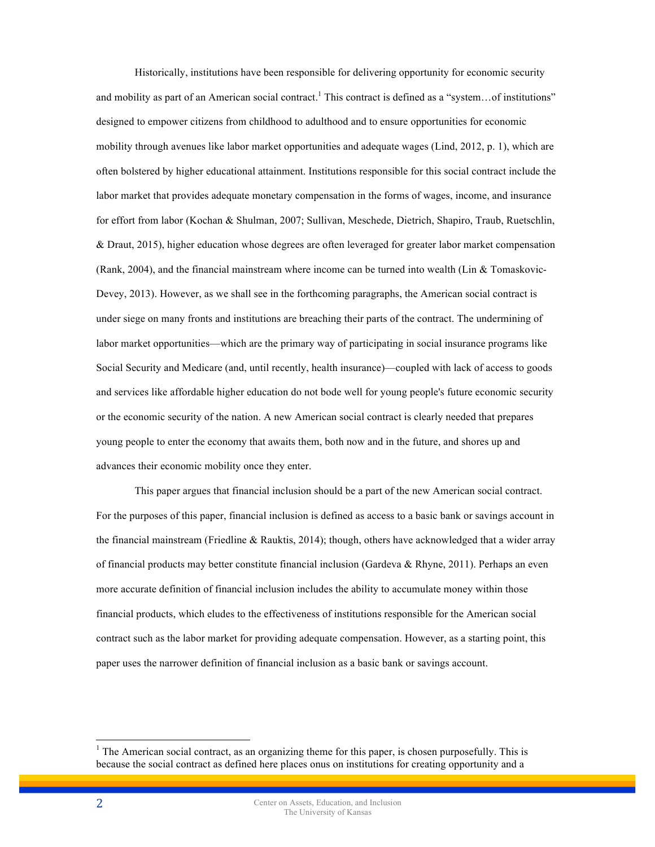Historically, institutions have been responsible for delivering opportunity for economic security and mobility as part of an American social contract.<sup>1</sup> This contract is defined as a "system...of institutions" designed to empower citizens from childhood to adulthood and to ensure opportunities for economic mobility through avenues like labor market opportunities and adequate wages (Lind, 2012, p. 1), which are often bolstered by higher educational attainment. Institutions responsible for this social contract include the labor market that provides adequate monetary compensation in the forms of wages, income, and insurance for effort from labor (Kochan & Shulman, 2007; Sullivan, Meschede, Dietrich, Shapiro, Traub, Ruetschlin, & Draut, 2015), higher education whose degrees are often leveraged for greater labor market compensation (Rank, 2004), and the financial mainstream where income can be turned into wealth (Lin & Tomaskovic-Devey, 2013). However, as we shall see in the forthcoming paragraphs, the American social contract is under siege on many fronts and institutions are breaching their parts of the contract. The undermining of labor market opportunities—which are the primary way of participating in social insurance programs like Social Security and Medicare (and, until recently, health insurance)—coupled with lack of access to goods and services like affordable higher education do not bode well for young people's future economic security or the economic security of the nation. A new American social contract is clearly needed that prepares young people to enter the economy that awaits them, both now and in the future, and shores up and advances their economic mobility once they enter.

This paper argues that financial inclusion should be a part of the new American social contract. For the purposes of this paper, financial inclusion is defined as access to a basic bank or savings account in the financial mainstream (Friedline & Rauktis, 2014); though, others have acknowledged that a wider array of financial products may better constitute financial inclusion (Gardeva & Rhyne, 2011). Perhaps an even more accurate definition of financial inclusion includes the ability to accumulate money within those financial products, which eludes to the effectiveness of institutions responsible for the American social contract such as the labor market for providing adequate compensation. However, as a starting point, this paper uses the narrower definition of financial inclusion as a basic bank or savings account.

 $<sup>1</sup>$  The American social contract, as an organizing theme for this paper, is chosen purposefully. This is</sup> because the social contract as defined here places onus on institutions for creating opportunity and a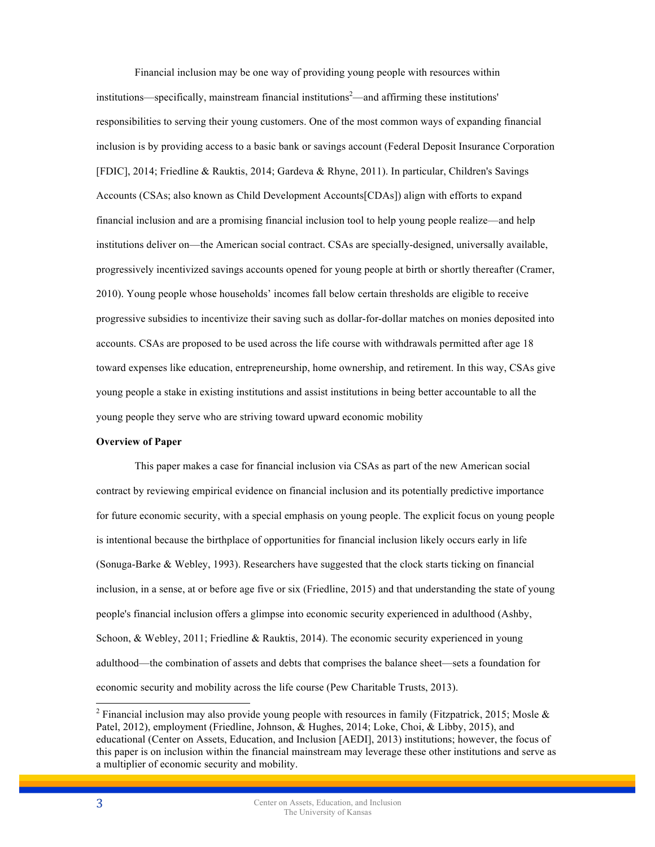Financial inclusion may be one way of providing young people with resources within institutions—specifically, mainstream financial institutions<sup>2</sup>—and affirming these institutions' responsibilities to serving their young customers. One of the most common ways of expanding financial inclusion is by providing access to a basic bank or savings account (Federal Deposit Insurance Corporation [FDIC], 2014; Friedline & Rauktis, 2014; Gardeva & Rhyne, 2011). In particular, Children's Savings Accounts (CSAs; also known as Child Development Accounts[CDAs]) align with efforts to expand financial inclusion and are a promising financial inclusion tool to help young people realize—and help institutions deliver on—the American social contract. CSAs are specially-designed, universally available, progressively incentivized savings accounts opened for young people at birth or shortly thereafter (Cramer, 2010). Young people whose households' incomes fall below certain thresholds are eligible to receive progressive subsidies to incentivize their saving such as dollar-for-dollar matches on monies deposited into accounts. CSAs are proposed to be used across the life course with withdrawals permitted after age 18 toward expenses like education, entrepreneurship, home ownership, and retirement. In this way, CSAs give young people a stake in existing institutions and assist institutions in being better accountable to all the young people they serve who are striving toward upward economic mobility

## **Overview of Paper**

This paper makes a case for financial inclusion via CSAs as part of the new American social contract by reviewing empirical evidence on financial inclusion and its potentially predictive importance for future economic security, with a special emphasis on young people. The explicit focus on young people is intentional because the birthplace of opportunities for financial inclusion likely occurs early in life (Sonuga-Barke & Webley, 1993). Researchers have suggested that the clock starts ticking on financial inclusion, in a sense, at or before age five or six (Friedline, 2015) and that understanding the state of young people's financial inclusion offers a glimpse into economic security experienced in adulthood (Ashby, Schoon, & Webley, 2011; Friedline & Rauktis, 2014). The economic security experienced in young adulthood—the combination of assets and debts that comprises the balance sheet—sets a foundation for economic security and mobility across the life course (Pew Charitable Trusts, 2013).

<sup>&</sup>lt;sup>2</sup> Financial inclusion may also provide young people with resources in family (Fitzpatrick, 2015; Mosle  $\&$ Patel, 2012), employment (Friedline, Johnson, & Hughes, 2014; Loke, Choi, & Libby, 2015), and educational (Center on Assets, Education, and Inclusion [AEDI], 2013) institutions; however, the focus of this paper is on inclusion within the financial mainstream may leverage these other institutions and serve as a multiplier of economic security and mobility.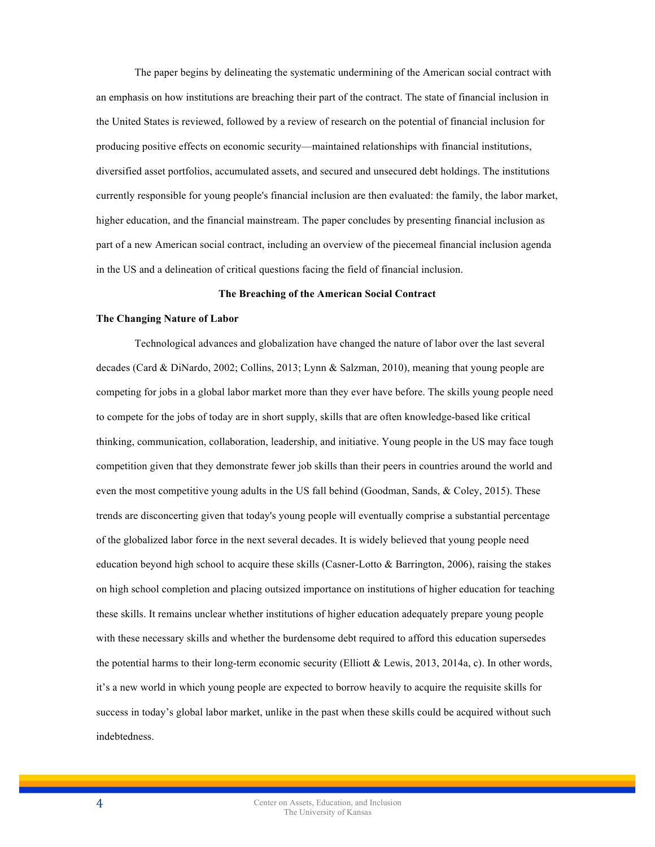The paper begins by delineating the systematic undermining of the American social contract with an emphasis on how institutions are breaching their part of the contract. The state of financial inclusion in the United States is reviewed, followed by a review of research on the potential of financial inclusion for producing positive effects on economic security—maintained relationships with financial institutions, diversified asset portfolios, accumulated assets, and secured and unsecured debt holdings. The institutions currently responsible for young people's financial inclusion are then evaluated: the family, the labor market, higher education, and the financial mainstream. The paper concludes by presenting financial inclusion as part of a new American social contract, including an overview of the piecemeal financial inclusion agenda in the US and a delineation of critical questions facing the field of financial inclusion.

## **The Breaching of the American Social Contract**

#### **The Changing Nature of Labor**

Technological advances and globalization have changed the nature of labor over the last several decades (Card & DiNardo, 2002; Collins, 2013; Lynn & Salzman, 2010), meaning that young people are competing for jobs in a global labor market more than they ever have before. The skills young people need to compete for the jobs of today are in short supply, skills that are often knowledge-based like critical thinking, communication, collaboration, leadership, and initiative. Young people in the US may face tough competition given that they demonstrate fewer job skills than their peers in countries around the world and even the most competitive young adults in the US fall behind (Goodman, Sands, & Coley, 2015). These trends are disconcerting given that today's young people will eventually comprise a substantial percentage of the globalized labor force in the next several decades. It is widely believed that young people need education beyond high school to acquire these skills (Casner-Lotto & Barrington, 2006), raising the stakes on high school completion and placing outsized importance on institutions of higher education for teaching these skills. It remains unclear whether institutions of higher education adequately prepare young people with these necessary skills and whether the burdensome debt required to afford this education supersedes the potential harms to their long-term economic security (Elliott & Lewis, 2013, 2014a, c). In other words, it's a new world in which young people are expected to borrow heavily to acquire the requisite skills for success in today's global labor market, unlike in the past when these skills could be acquired without such indebtedness.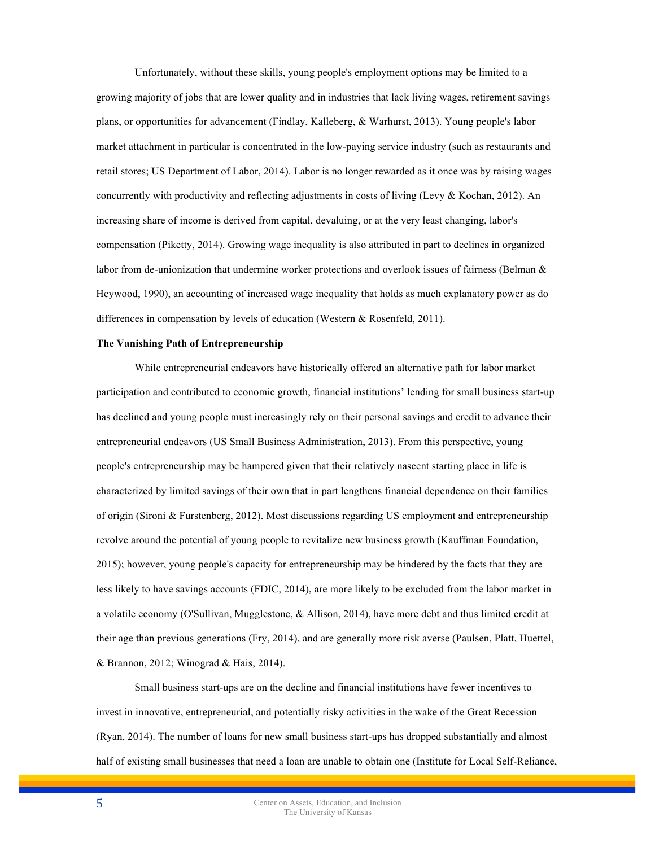Unfortunately, without these skills, young people's employment options may be limited to a growing majority of jobs that are lower quality and in industries that lack living wages, retirement savings plans, or opportunities for advancement (Findlay, Kalleberg, & Warhurst, 2013). Young people's labor market attachment in particular is concentrated in the low-paying service industry (such as restaurants and retail stores; US Department of Labor, 2014). Labor is no longer rewarded as it once was by raising wages concurrently with productivity and reflecting adjustments in costs of living (Levy  $&$  Kochan, 2012). An increasing share of income is derived from capital, devaluing, or at the very least changing, labor's compensation (Piketty, 2014). Growing wage inequality is also attributed in part to declines in organized labor from de-unionization that undermine worker protections and overlook issues of fairness (Belman & Heywood, 1990), an accounting of increased wage inequality that holds as much explanatory power as do differences in compensation by levels of education (Western & Rosenfeld, 2011).

#### **The Vanishing Path of Entrepreneurship**

While entrepreneurial endeavors have historically offered an alternative path for labor market participation and contributed to economic growth, financial institutions' lending for small business start-up has declined and young people must increasingly rely on their personal savings and credit to advance their entrepreneurial endeavors (US Small Business Administration, 2013). From this perspective, young people's entrepreneurship may be hampered given that their relatively nascent starting place in life is characterized by limited savings of their own that in part lengthens financial dependence on their families of origin (Sironi & Furstenberg, 2012). Most discussions regarding US employment and entrepreneurship revolve around the potential of young people to revitalize new business growth (Kauffman Foundation, 2015); however, young people's capacity for entrepreneurship may be hindered by the facts that they are less likely to have savings accounts (FDIC, 2014), are more likely to be excluded from the labor market in a volatile economy (O'Sullivan, Mugglestone, & Allison, 2014), have more debt and thus limited credit at their age than previous generations (Fry, 2014), and are generally more risk averse (Paulsen, Platt, Huettel, & Brannon, 2012; Winograd & Hais, 2014).

Small business start-ups are on the decline and financial institutions have fewer incentives to invest in innovative, entrepreneurial, and potentially risky activities in the wake of the Great Recession (Ryan, 2014). The number of loans for new small business start-ups has dropped substantially and almost half of existing small businesses that need a loan are unable to obtain one (Institute for Local Self-Reliance,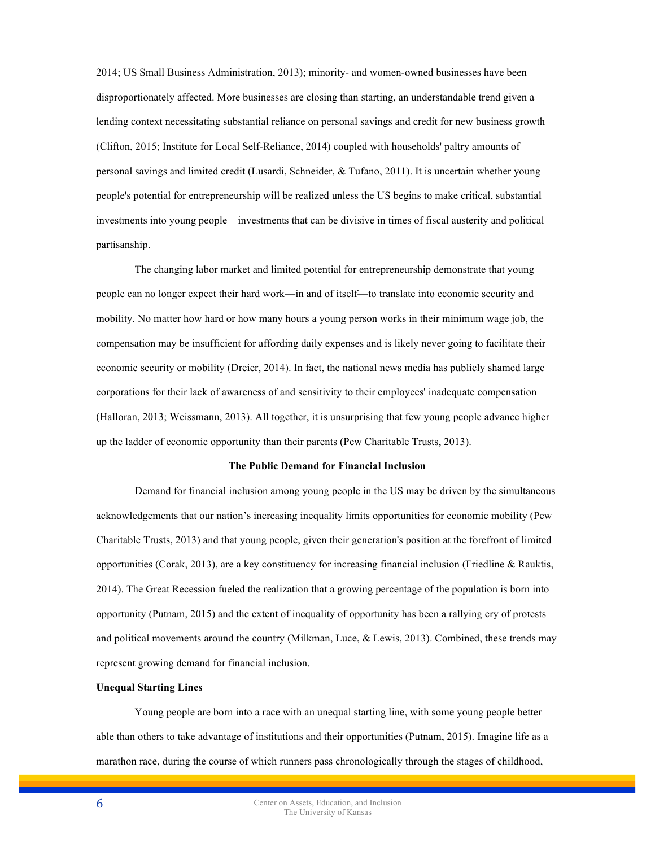2014; US Small Business Administration, 2013); minority- and women-owned businesses have been disproportionately affected. More businesses are closing than starting, an understandable trend given a lending context necessitating substantial reliance on personal savings and credit for new business growth (Clifton, 2015; Institute for Local Self-Reliance, 2014) coupled with households' paltry amounts of personal savings and limited credit (Lusardi, Schneider, & Tufano, 2011). It is uncertain whether young people's potential for entrepreneurship will be realized unless the US begins to make critical, substantial investments into young people—investments that can be divisive in times of fiscal austerity and political partisanship.

The changing labor market and limited potential for entrepreneurship demonstrate that young people can no longer expect their hard work—in and of itself—to translate into economic security and mobility. No matter how hard or how many hours a young person works in their minimum wage job, the compensation may be insufficient for affording daily expenses and is likely never going to facilitate their economic security or mobility (Dreier, 2014). In fact, the national news media has publicly shamed large corporations for their lack of awareness of and sensitivity to their employees' inadequate compensation (Halloran, 2013; Weissmann, 2013). All together, it is unsurprising that few young people advance higher up the ladder of economic opportunity than their parents (Pew Charitable Trusts, 2013).

## **The Public Demand for Financial Inclusion**

Demand for financial inclusion among young people in the US may be driven by the simultaneous acknowledgements that our nation's increasing inequality limits opportunities for economic mobility (Pew Charitable Trusts, 2013) and that young people, given their generation's position at the forefront of limited opportunities (Corak, 2013), are a key constituency for increasing financial inclusion (Friedline & Rauktis, 2014). The Great Recession fueled the realization that a growing percentage of the population is born into opportunity (Putnam, 2015) and the extent of inequality of opportunity has been a rallying cry of protests and political movements around the country (Milkman, Luce, & Lewis, 2013). Combined, these trends may represent growing demand for financial inclusion.

## **Unequal Starting Lines**

Young people are born into a race with an unequal starting line, with some young people better able than others to take advantage of institutions and their opportunities (Putnam, 2015). Imagine life as a marathon race, during the course of which runners pass chronologically through the stages of childhood,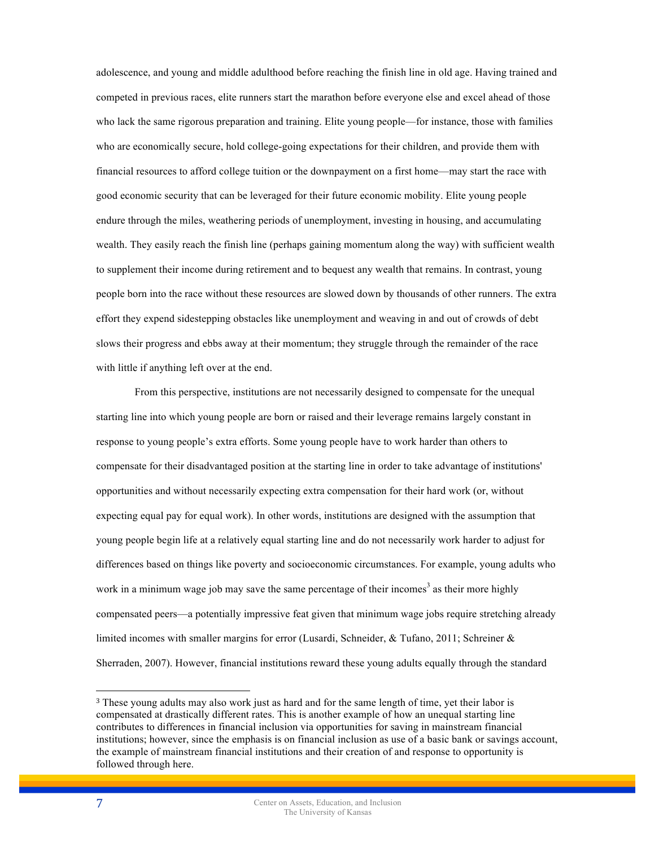adolescence, and young and middle adulthood before reaching the finish line in old age. Having trained and competed in previous races, elite runners start the marathon before everyone else and excel ahead of those who lack the same rigorous preparation and training. Elite young people—for instance, those with families who are economically secure, hold college-going expectations for their children, and provide them with financial resources to afford college tuition or the downpayment on a first home—may start the race with good economic security that can be leveraged for their future economic mobility. Elite young people endure through the miles, weathering periods of unemployment, investing in housing, and accumulating wealth. They easily reach the finish line (perhaps gaining momentum along the way) with sufficient wealth to supplement their income during retirement and to bequest any wealth that remains. In contrast, young people born into the race without these resources are slowed down by thousands of other runners. The extra effort they expend sidestepping obstacles like unemployment and weaving in and out of crowds of debt slows their progress and ebbs away at their momentum; they struggle through the remainder of the race with little if anything left over at the end.

From this perspective, institutions are not necessarily designed to compensate for the unequal starting line into which young people are born or raised and their leverage remains largely constant in response to young people's extra efforts. Some young people have to work harder than others to compensate for their disadvantaged position at the starting line in order to take advantage of institutions' opportunities and without necessarily expecting extra compensation for their hard work (or, without expecting equal pay for equal work). In other words, institutions are designed with the assumption that young people begin life at a relatively equal starting line and do not necessarily work harder to adjust for differences based on things like poverty and socioeconomic circumstances. For example, young adults who work in a minimum wage job may save the same percentage of their incomes<sup>3</sup> as their more highly compensated peers—a potentially impressive feat given that minimum wage jobs require stretching already limited incomes with smaller margins for error (Lusardi, Schneider, & Tufano, 2011; Schreiner & Sherraden, 2007). However, financial institutions reward these young adults equally through the standard

 $\overline{a}$ 

<sup>&</sup>lt;sup>3</sup> These young adults may also work just as hard and for the same length of time, yet their labor is compensated at drastically different rates. This is another example of how an unequal starting line contributes to differences in financial inclusion via opportunities for saving in mainstream financial institutions; however, since the emphasis is on financial inclusion as use of a basic bank or savings account, the example of mainstream financial institutions and their creation of and response to opportunity is followed through here.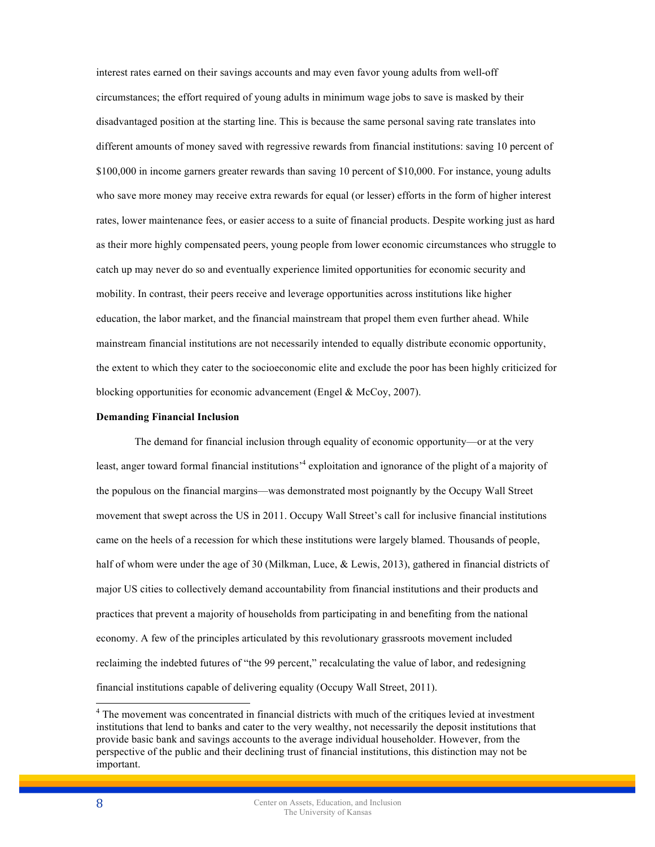interest rates earned on their savings accounts and may even favor young adults from well-off circumstances; the effort required of young adults in minimum wage jobs to save is masked by their disadvantaged position at the starting line. This is because the same personal saving rate translates into different amounts of money saved with regressive rewards from financial institutions: saving 10 percent of \$100,000 in income garners greater rewards than saving 10 percent of \$10,000. For instance, young adults who save more money may receive extra rewards for equal (or lesser) efforts in the form of higher interest rates, lower maintenance fees, or easier access to a suite of financial products. Despite working just as hard as their more highly compensated peers, young people from lower economic circumstances who struggle to catch up may never do so and eventually experience limited opportunities for economic security and mobility. In contrast, their peers receive and leverage opportunities across institutions like higher education, the labor market, and the financial mainstream that propel them even further ahead. While mainstream financial institutions are not necessarily intended to equally distribute economic opportunity, the extent to which they cater to the socioeconomic elite and exclude the poor has been highly criticized for blocking opportunities for economic advancement (Engel & McCoy, 2007).

## **Demanding Financial Inclusion**

The demand for financial inclusion through equality of economic opportunity—or at the very least, anger toward formal financial institutions<sup>34</sup> exploitation and ignorance of the plight of a majority of the populous on the financial margins—was demonstrated most poignantly by the Occupy Wall Street movement that swept across the US in 2011. Occupy Wall Street's call for inclusive financial institutions came on the heels of a recession for which these institutions were largely blamed. Thousands of people, half of whom were under the age of 30 (Milkman, Luce, & Lewis, 2013), gathered in financial districts of major US cities to collectively demand accountability from financial institutions and their products and practices that prevent a majority of households from participating in and benefiting from the national economy. A few of the principles articulated by this revolutionary grassroots movement included reclaiming the indebted futures of "the 99 percent," recalculating the value of labor, and redesigning financial institutions capable of delivering equality (Occupy Wall Street, 2011).

<sup>&</sup>lt;sup>4</sup> The movement was concentrated in financial districts with much of the critiques levied at investment institutions that lend to banks and cater to the very wealthy, not necessarily the deposit institutions that provide basic bank and savings accounts to the average individual householder. However, from the perspective of the public and their declining trust of financial institutions, this distinction may not be important.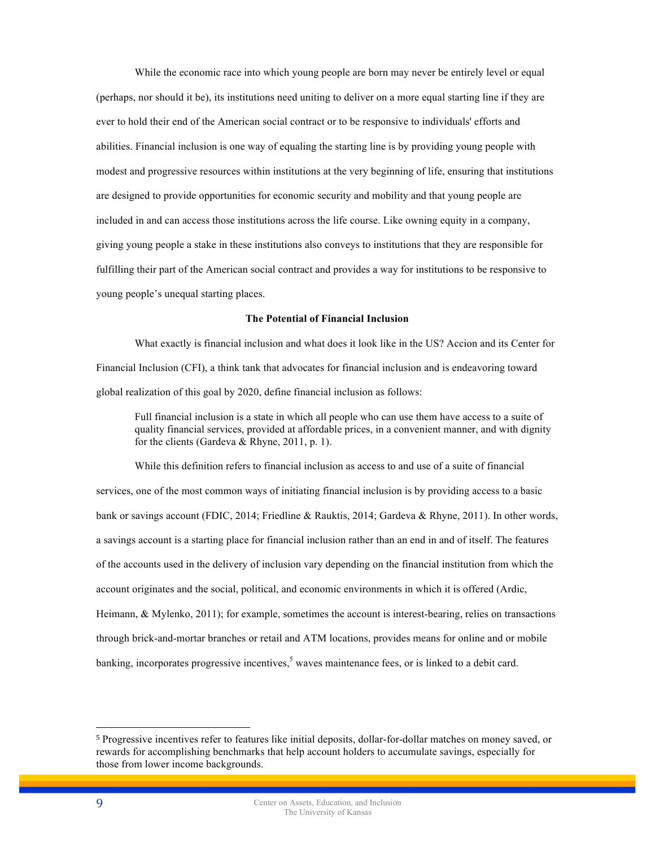While the economic race into which young people are born may never be entirely level or equal (perhaps, nor should it be), its institutions need uniting to deliver on a more equal starting line if they are ever to hold their end of the American social contract or to be responsive to individuals' efforts and abilities. Financial inclusion is one way of equaling the starting line is by providing young people with modest and progressive resources within institutions at the very beginning of life, ensuring that institutions are designed to provide opportunities for economic security and mobility and that young people are included in and can access those institutions across the life course. Like owning equity in a company, giving young people a stake in these institutions also conveys to institutions that they are responsible for fulfilling their part of the American social contract and provides a way for institutions to be responsive to young people's unequal starting places.

#### **The Potential of Financial Inclusion**

What exactly is financial inclusion and what does it look like in the US? Accion and its Center for Financial Inclusion (CFI), a think tank that advocates for financial inclusion and is endeavoring toward global realization of this goal by 2020, define financial inclusion as follows:

Full financial inclusion is a state in which all people who can use them have access to a suite of quality financial services, provided at affordable prices, in a convenient manner, and with dignity for the clients (Gardeva & Rhyne, 2011, p. 1).

While this definition refers to financial inclusion as access to and use of a suite of financial services, one of the most common ways of initiating financial inclusion is by providing access to a basic bank or savings account (FDIC, 2014; Friedline & Rauktis, 2014; Gardeva & Rhyne, 2011). In other words, a savings account is a starting place for financial inclusion rather than an end in and of itself. The features of the accounts used in the delivery of inclusion vary depending on the financial institution from which the account originates and the social, political, and economic environments in which it is offered (Ardic, Heimann, & Mylenko, 2011); for example, sometimes the account is interest-bearing, relies on transactions through brick-and-mortar branches or retail and ATM locations, provides means for online and or mobile banking, incorporates progressive incentives,<sup>5</sup> waves maintenance fees, or is linked to a debit card.

 $\overline{a}$ 

<sup>5</sup> Progressive incentives refer to features like initial deposits, dollar-for-dollar matches on money saved, or rewards for accomplishing benchmarks that help account holders to accumulate savings, especially for those from lower income backgrounds.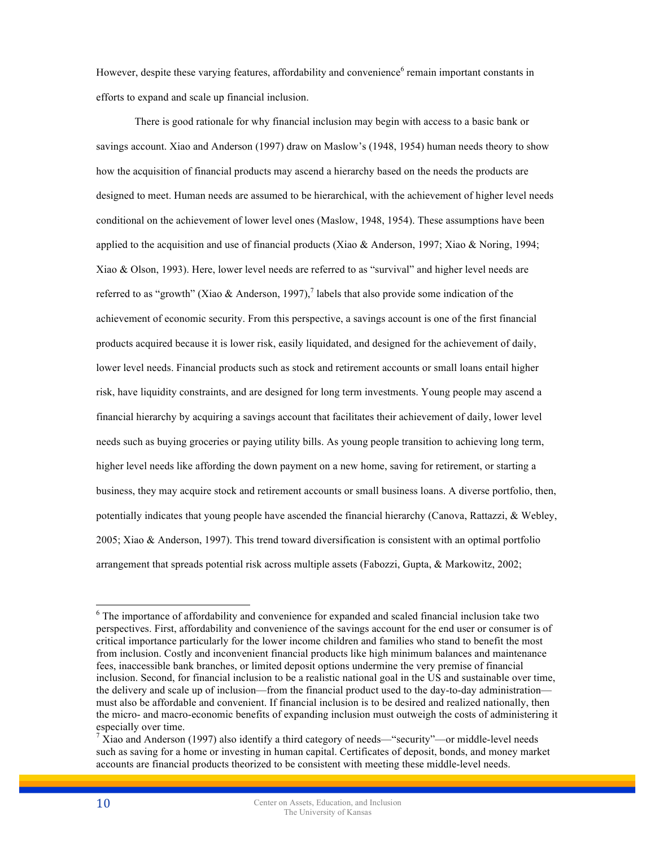However, despite these varying features, affordability and convenience<sup>6</sup> remain important constants in efforts to expand and scale up financial inclusion.

There is good rationale for why financial inclusion may begin with access to a basic bank or savings account. Xiao and Anderson (1997) draw on Maslow's (1948, 1954) human needs theory to show how the acquisition of financial products may ascend a hierarchy based on the needs the products are designed to meet. Human needs are assumed to be hierarchical, with the achievement of higher level needs conditional on the achievement of lower level ones (Maslow, 1948, 1954). These assumptions have been applied to the acquisition and use of financial products (Xiao & Anderson, 1997; Xiao & Noring, 1994; Xiao & Olson, 1993). Here, lower level needs are referred to as "survival" and higher level needs are referred to as "growth" (Xiao & Anderson, 1997),<sup>7</sup> labels that also provide some indication of the achievement of economic security. From this perspective, a savings account is one of the first financial products acquired because it is lower risk, easily liquidated, and designed for the achievement of daily, lower level needs. Financial products such as stock and retirement accounts or small loans entail higher risk, have liquidity constraints, and are designed for long term investments. Young people may ascend a financial hierarchy by acquiring a savings account that facilitates their achievement of daily, lower level needs such as buying groceries or paying utility bills. As young people transition to achieving long term, higher level needs like affording the down payment on a new home, saving for retirement, or starting a business, they may acquire stock and retirement accounts or small business loans. A diverse portfolio, then, potentially indicates that young people have ascended the financial hierarchy (Canova, Rattazzi, & Webley, 2005; Xiao & Anderson, 1997). This trend toward diversification is consistent with an optimal portfolio arrangement that spreads potential risk across multiple assets (Fabozzi, Gupta, & Markowitz, 2002;

<sup>&</sup>lt;sup>6</sup> The importance of affordability and convenience for expanded and scaled financial inclusion take two perspectives. First, affordability and convenience of the savings account for the end user or consumer is of critical importance particularly for the lower income children and families who stand to benefit the most from inclusion. Costly and inconvenient financial products like high minimum balances and maintenance fees, inaccessible bank branches, or limited deposit options undermine the very premise of financial inclusion. Second, for financial inclusion to be a realistic national goal in the US and sustainable over time, the delivery and scale up of inclusion—from the financial product used to the day-to-day administration must also be affordable and convenient. If financial inclusion is to be desired and realized nationally, then the micro- and macro-economic benefits of expanding inclusion must outweigh the costs of administering it especially over time.

 $\frac{7}{1}$ Xiao and Anderson (1997) also identify a third category of needs—"security"—or middle-level needs such as saving for a home or investing in human capital. Certificates of deposit, bonds, and money market accounts are financial products theorized to be consistent with meeting these middle-level needs.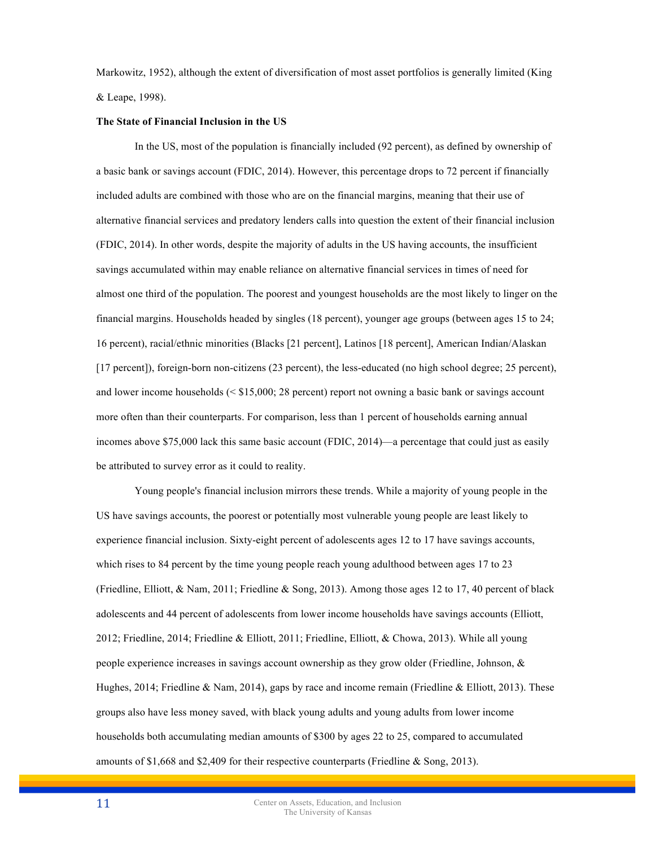Markowitz, 1952), although the extent of diversification of most asset portfolios is generally limited (King & Leape, 1998).

#### **The State of Financial Inclusion in the US**

In the US, most of the population is financially included (92 percent), as defined by ownership of a basic bank or savings account (FDIC, 2014). However, this percentage drops to 72 percent if financially included adults are combined with those who are on the financial margins, meaning that their use of alternative financial services and predatory lenders calls into question the extent of their financial inclusion (FDIC, 2014). In other words, despite the majority of adults in the US having accounts, the insufficient savings accumulated within may enable reliance on alternative financial services in times of need for almost one third of the population. The poorest and youngest households are the most likely to linger on the financial margins. Households headed by singles (18 percent), younger age groups (between ages 15 to 24; 16 percent), racial/ethnic minorities (Blacks [21 percent], Latinos [18 percent], American Indian/Alaskan [17 percent]), foreign-born non-citizens (23 percent), the less-educated (no high school degree; 25 percent), and lower income households (< \$15,000; 28 percent) report not owning a basic bank or savings account more often than their counterparts. For comparison, less than 1 percent of households earning annual incomes above \$75,000 lack this same basic account (FDIC, 2014)—a percentage that could just as easily be attributed to survey error as it could to reality.

Young people's financial inclusion mirrors these trends. While a majority of young people in the US have savings accounts, the poorest or potentially most vulnerable young people are least likely to experience financial inclusion. Sixty-eight percent of adolescents ages 12 to 17 have savings accounts, which rises to 84 percent by the time young people reach young adulthood between ages 17 to 23 (Friedline, Elliott, & Nam, 2011; Friedline & Song, 2013). Among those ages 12 to 17, 40 percent of black adolescents and 44 percent of adolescents from lower income households have savings accounts (Elliott, 2012; Friedline, 2014; Friedline & Elliott, 2011; Friedline, Elliott, & Chowa, 2013). While all young people experience increases in savings account ownership as they grow older (Friedline, Johnson, & Hughes, 2014; Friedline & Nam, 2014), gaps by race and income remain (Friedline & Elliott, 2013). These groups also have less money saved, with black young adults and young adults from lower income households both accumulating median amounts of \$300 by ages 22 to 25, compared to accumulated amounts of \$1,668 and \$2,409 for their respective counterparts (Friedline & Song, 2013).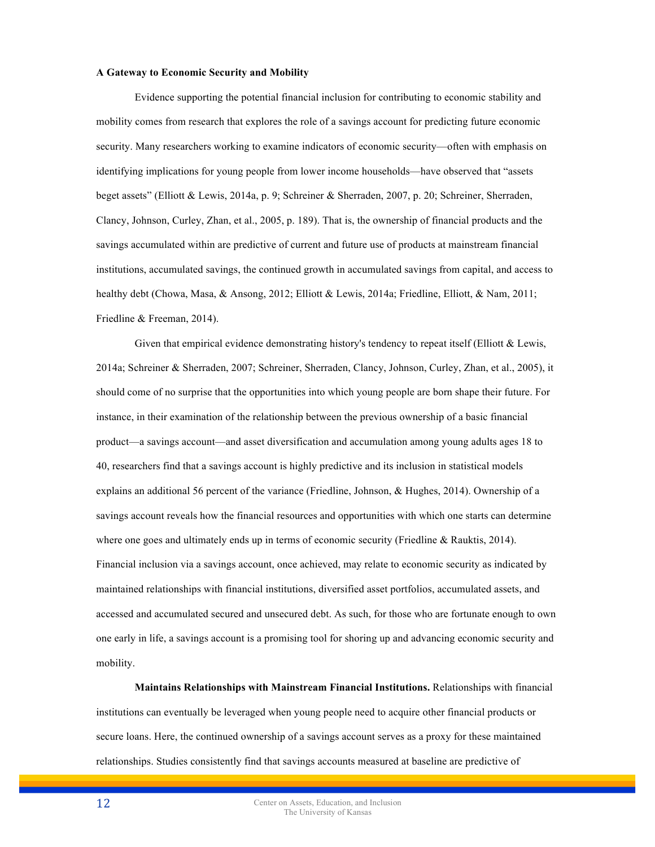#### **A Gateway to Economic Security and Mobility**

Evidence supporting the potential financial inclusion for contributing to economic stability and mobility comes from research that explores the role of a savings account for predicting future economic security. Many researchers working to examine indicators of economic security—often with emphasis on identifying implications for young people from lower income households—have observed that "assets beget assets" (Elliott & Lewis, 2014a, p. 9; Schreiner & Sherraden, 2007, p. 20; Schreiner, Sherraden, Clancy, Johnson, Curley, Zhan, et al., 2005, p. 189). That is, the ownership of financial products and the savings accumulated within are predictive of current and future use of products at mainstream financial institutions, accumulated savings, the continued growth in accumulated savings from capital, and access to healthy debt (Chowa, Masa, & Ansong, 2012; Elliott & Lewis, 2014a; Friedline, Elliott, & Nam, 2011; Friedline & Freeman, 2014).

Given that empirical evidence demonstrating history's tendency to repeat itself (Elliott  $\&$  Lewis, 2014a; Schreiner & Sherraden, 2007; Schreiner, Sherraden, Clancy, Johnson, Curley, Zhan, et al., 2005), it should come of no surprise that the opportunities into which young people are born shape their future. For instance, in their examination of the relationship between the previous ownership of a basic financial product—a savings account—and asset diversification and accumulation among young adults ages 18 to 40, researchers find that a savings account is highly predictive and its inclusion in statistical models explains an additional 56 percent of the variance (Friedline, Johnson, & Hughes, 2014). Ownership of a savings account reveals how the financial resources and opportunities with which one starts can determine where one goes and ultimately ends up in terms of economic security (Friedline & Rauktis, 2014). Financial inclusion via a savings account, once achieved, may relate to economic security as indicated by maintained relationships with financial institutions, diversified asset portfolios, accumulated assets, and accessed and accumulated secured and unsecured debt. As such, for those who are fortunate enough to own one early in life, a savings account is a promising tool for shoring up and advancing economic security and mobility.

**Maintains Relationships with Mainstream Financial Institutions.** Relationships with financial institutions can eventually be leveraged when young people need to acquire other financial products or secure loans. Here, the continued ownership of a savings account serves as a proxy for these maintained relationships. Studies consistently find that savings accounts measured at baseline are predictive of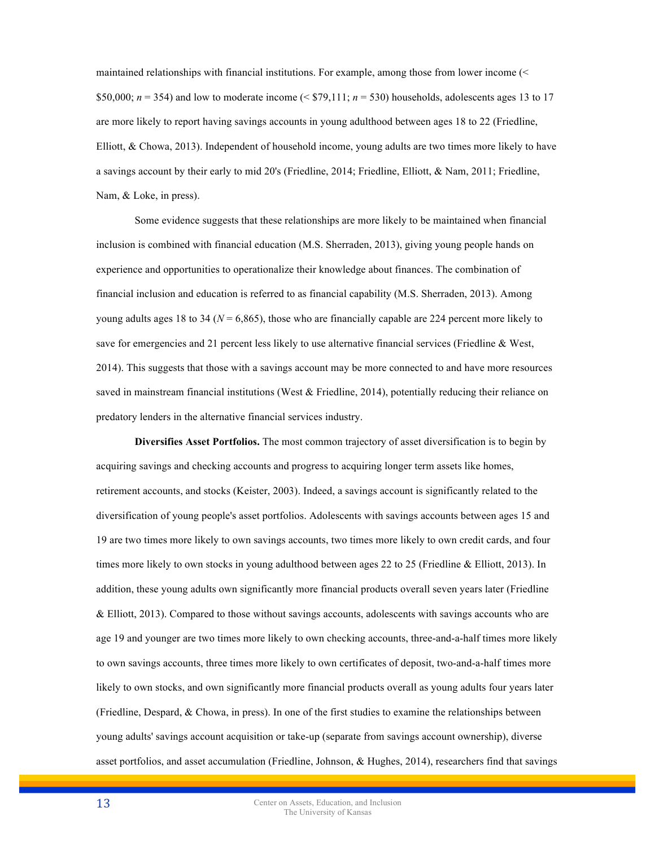maintained relationships with financial institutions. For example, among those from lower income (< \$50,000;  $n = 354$ ) and low to moderate income (< \$79,111;  $n = 530$ ) households, adolescents ages 13 to 17 are more likely to report having savings accounts in young adulthood between ages 18 to 22 (Friedline, Elliott, & Chowa, 2013). Independent of household income, young adults are two times more likely to have a savings account by their early to mid 20's (Friedline, 2014; Friedline, Elliott, & Nam, 2011; Friedline, Nam, & Loke, in press).

Some evidence suggests that these relationships are more likely to be maintained when financial inclusion is combined with financial education (M.S. Sherraden, 2013), giving young people hands on experience and opportunities to operationalize their knowledge about finances. The combination of financial inclusion and education is referred to as financial capability (M.S. Sherraden, 2013). Among young adults ages 18 to 34 ( $N = 6,865$ ), those who are financially capable are 224 percent more likely to save for emergencies and 21 percent less likely to use alternative financial services (Friedline & West, 2014). This suggests that those with a savings account may be more connected to and have more resources saved in mainstream financial institutions (West  $\&$  Friedline, 2014), potentially reducing their reliance on predatory lenders in the alternative financial services industry.

**Diversifies Asset Portfolios.** The most common trajectory of asset diversification is to begin by acquiring savings and checking accounts and progress to acquiring longer term assets like homes, retirement accounts, and stocks (Keister, 2003). Indeed, a savings account is significantly related to the diversification of young people's asset portfolios. Adolescents with savings accounts between ages 15 and 19 are two times more likely to own savings accounts, two times more likely to own credit cards, and four times more likely to own stocks in young adulthood between ages 22 to 25 (Friedline & Elliott, 2013). In addition, these young adults own significantly more financial products overall seven years later (Friedline & Elliott, 2013). Compared to those without savings accounts, adolescents with savings accounts who are age 19 and younger are two times more likely to own checking accounts, three-and-a-half times more likely to own savings accounts, three times more likely to own certificates of deposit, two-and-a-half times more likely to own stocks, and own significantly more financial products overall as young adults four years later (Friedline, Despard, & Chowa, in press). In one of the first studies to examine the relationships between young adults' savings account acquisition or take-up (separate from savings account ownership), diverse asset portfolios, and asset accumulation (Friedline, Johnson, & Hughes, 2014), researchers find that savings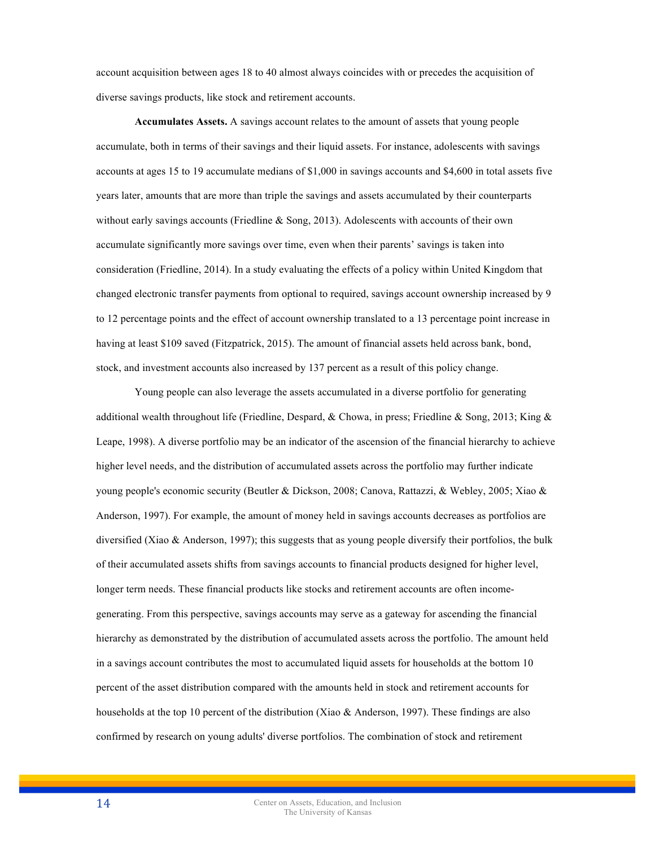account acquisition between ages 18 to 40 almost always coincides with or precedes the acquisition of diverse savings products, like stock and retirement accounts.

**Accumulates Assets.** A savings account relates to the amount of assets that young people accumulate, both in terms of their savings and their liquid assets. For instance, adolescents with savings accounts at ages 15 to 19 accumulate medians of \$1,000 in savings accounts and \$4,600 in total assets five years later, amounts that are more than triple the savings and assets accumulated by their counterparts without early savings accounts (Friedline  $\&$  Song, 2013). Adolescents with accounts of their own accumulate significantly more savings over time, even when their parents' savings is taken into consideration (Friedline, 2014). In a study evaluating the effects of a policy within United Kingdom that changed electronic transfer payments from optional to required, savings account ownership increased by 9 to 12 percentage points and the effect of account ownership translated to a 13 percentage point increase in having at least \$109 saved (Fitzpatrick, 2015). The amount of financial assets held across bank, bond, stock, and investment accounts also increased by 137 percent as a result of this policy change.

Young people can also leverage the assets accumulated in a diverse portfolio for generating additional wealth throughout life (Friedline, Despard, & Chowa, in press; Friedline & Song, 2013; King & Leape, 1998). A diverse portfolio may be an indicator of the ascension of the financial hierarchy to achieve higher level needs, and the distribution of accumulated assets across the portfolio may further indicate young people's economic security (Beutler & Dickson, 2008; Canova, Rattazzi, & Webley, 2005; Xiao & Anderson, 1997). For example, the amount of money held in savings accounts decreases as portfolios are diversified (Xiao & Anderson, 1997); this suggests that as young people diversify their portfolios, the bulk of their accumulated assets shifts from savings accounts to financial products designed for higher level, longer term needs. These financial products like stocks and retirement accounts are often incomegenerating. From this perspective, savings accounts may serve as a gateway for ascending the financial hierarchy as demonstrated by the distribution of accumulated assets across the portfolio. The amount held in a savings account contributes the most to accumulated liquid assets for households at the bottom 10 percent of the asset distribution compared with the amounts held in stock and retirement accounts for households at the top 10 percent of the distribution (Xiao & Anderson, 1997). These findings are also confirmed by research on young adults' diverse portfolios. The combination of stock and retirement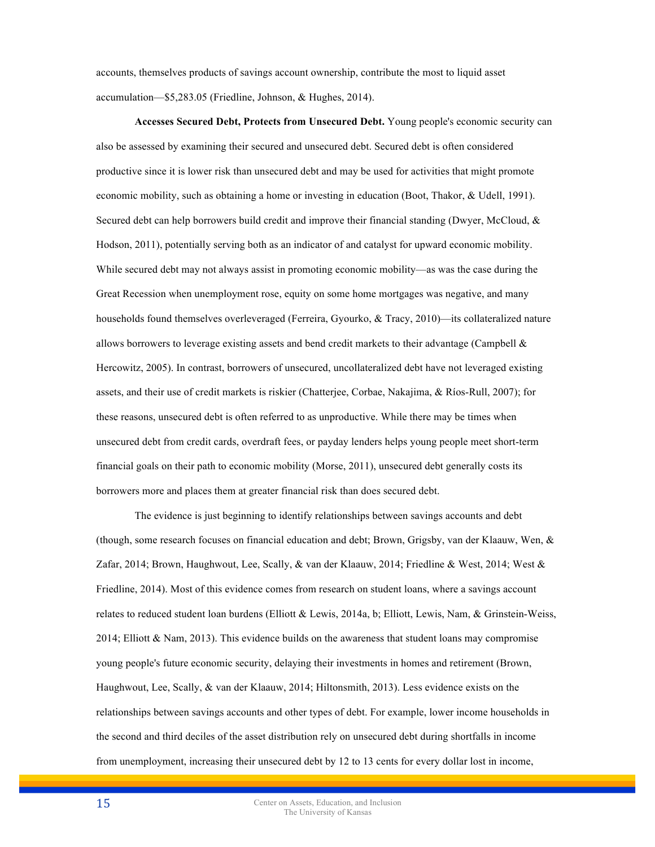accounts, themselves products of savings account ownership, contribute the most to liquid asset accumulation—\$5,283.05 (Friedline, Johnson, & Hughes, 2014).

**Accesses Secured Debt, Protects from Unsecured Debt.** Young people's economic security can also be assessed by examining their secured and unsecured debt. Secured debt is often considered productive since it is lower risk than unsecured debt and may be used for activities that might promote economic mobility, such as obtaining a home or investing in education (Boot, Thakor, & Udell, 1991). Secured debt can help borrowers build credit and improve their financial standing (Dwyer, McCloud, & Hodson, 2011), potentially serving both as an indicator of and catalyst for upward economic mobility. While secured debt may not always assist in promoting economic mobility—as was the case during the Great Recession when unemployment rose, equity on some home mortgages was negative, and many households found themselves overleveraged (Ferreira, Gyourko, & Tracy, 2010)—its collateralized nature allows borrowers to leverage existing assets and bend credit markets to their advantage (Campbell  $\&$ Hercowitz, 2005). In contrast, borrowers of unsecured, uncollateralized debt have not leveraged existing assets, and their use of credit markets is riskier (Chatterjee, Corbae, Nakajima, & Ríos-Rull, 2007); for these reasons, unsecured debt is often referred to as unproductive. While there may be times when unsecured debt from credit cards, overdraft fees, or payday lenders helps young people meet short-term financial goals on their path to economic mobility (Morse, 2011), unsecured debt generally costs its borrowers more and places them at greater financial risk than does secured debt.

The evidence is just beginning to identify relationships between savings accounts and debt (though, some research focuses on financial education and debt; Brown, Grigsby, van der Klaauw, Wen, & Zafar, 2014; Brown, Haughwout, Lee, Scally, & van der Klaauw, 2014; Friedline & West, 2014; West & Friedline, 2014). Most of this evidence comes from research on student loans, where a savings account relates to reduced student loan burdens (Elliott & Lewis, 2014a, b; Elliott, Lewis, Nam, & Grinstein-Weiss, 2014; Elliott & Nam, 2013). This evidence builds on the awareness that student loans may compromise young people's future economic security, delaying their investments in homes and retirement (Brown, Haughwout, Lee, Scally, & van der Klaauw, 2014; Hiltonsmith, 2013). Less evidence exists on the relationships between savings accounts and other types of debt. For example, lower income households in the second and third deciles of the asset distribution rely on unsecured debt during shortfalls in income from unemployment, increasing their unsecured debt by 12 to 13 cents for every dollar lost in income,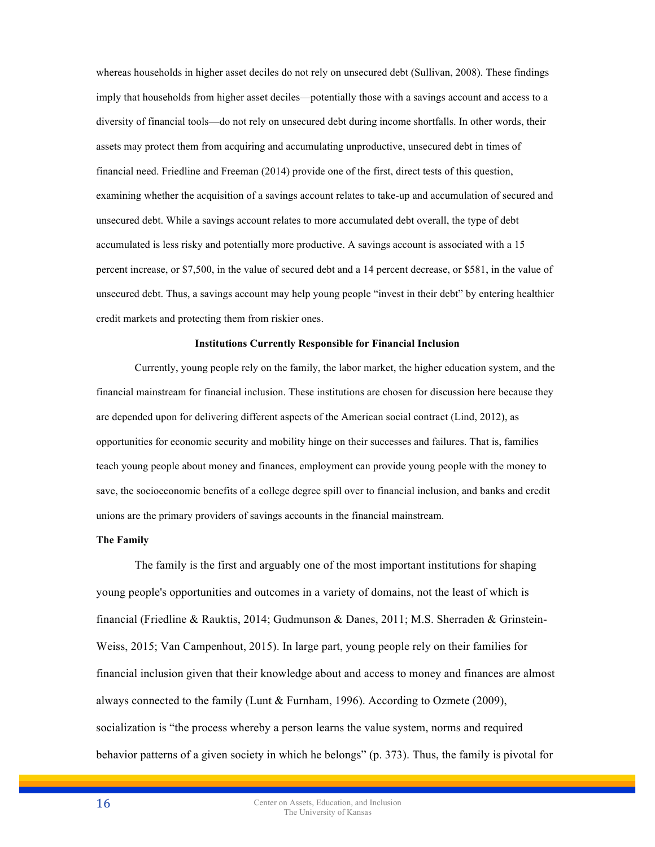whereas households in higher asset deciles do not rely on unsecured debt (Sullivan, 2008). These findings imply that households from higher asset deciles—potentially those with a savings account and access to a diversity of financial tools—do not rely on unsecured debt during income shortfalls. In other words, their assets may protect them from acquiring and accumulating unproductive, unsecured debt in times of financial need. Friedline and Freeman (2014) provide one of the first, direct tests of this question, examining whether the acquisition of a savings account relates to take-up and accumulation of secured and unsecured debt. While a savings account relates to more accumulated debt overall, the type of debt accumulated is less risky and potentially more productive. A savings account is associated with a 15 percent increase, or \$7,500, in the value of secured debt and a 14 percent decrease, or \$581, in the value of unsecured debt. Thus, a savings account may help young people "invest in their debt" by entering healthier credit markets and protecting them from riskier ones.

#### **Institutions Currently Responsible for Financial Inclusion**

Currently, young people rely on the family, the labor market, the higher education system, and the financial mainstream for financial inclusion. These institutions are chosen for discussion here because they are depended upon for delivering different aspects of the American social contract (Lind, 2012), as opportunities for economic security and mobility hinge on their successes and failures. That is, families teach young people about money and finances, employment can provide young people with the money to save, the socioeconomic benefits of a college degree spill over to financial inclusion, and banks and credit unions are the primary providers of savings accounts in the financial mainstream.

#### **The Family**

The family is the first and arguably one of the most important institutions for shaping young people's opportunities and outcomes in a variety of domains, not the least of which is financial (Friedline & Rauktis, 2014; Gudmunson & Danes, 2011; M.S. Sherraden & Grinstein-Weiss, 2015; Van Campenhout, 2015). In large part, young people rely on their families for financial inclusion given that their knowledge about and access to money and finances are almost always connected to the family (Lunt & Furnham, 1996). According to Ozmete (2009), socialization is "the process whereby a person learns the value system, norms and required behavior patterns of a given society in which he belongs" (p. 373). Thus, the family is pivotal for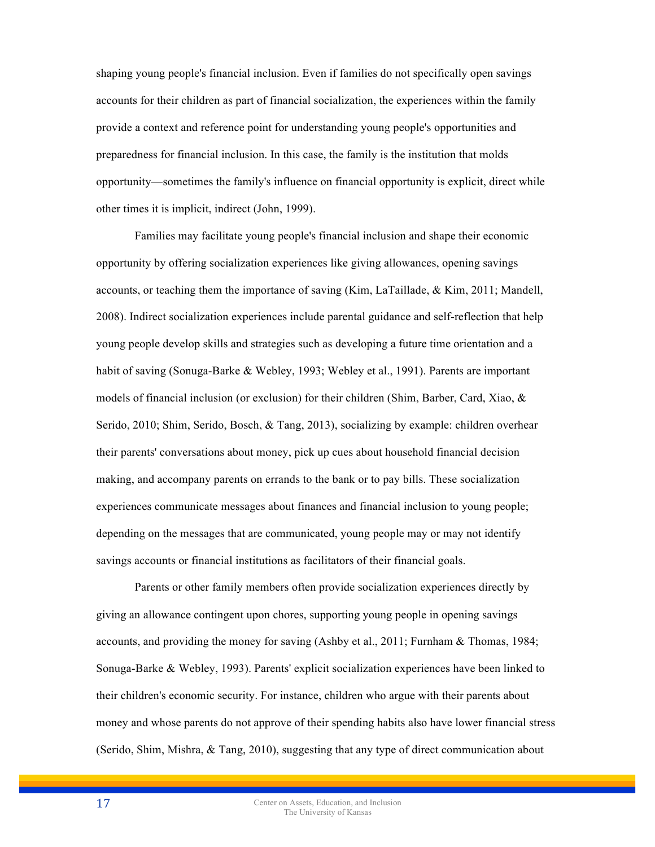shaping young people's financial inclusion. Even if families do not specifically open savings accounts for their children as part of financial socialization, the experiences within the family provide a context and reference point for understanding young people's opportunities and preparedness for financial inclusion. In this case, the family is the institution that molds opportunity—sometimes the family's influence on financial opportunity is explicit, direct while other times it is implicit, indirect (John, 1999).

Families may facilitate young people's financial inclusion and shape their economic opportunity by offering socialization experiences like giving allowances, opening savings accounts, or teaching them the importance of saving (Kim, LaTaillade, & Kim, 2011; Mandell, 2008). Indirect socialization experiences include parental guidance and self-reflection that help young people develop skills and strategies such as developing a future time orientation and a habit of saving (Sonuga-Barke & Webley, 1993; Webley et al., 1991). Parents are important models of financial inclusion (or exclusion) for their children (Shim, Barber, Card, Xiao, & Serido, 2010; Shim, Serido, Bosch, & Tang, 2013), socializing by example: children overhear their parents' conversations about money, pick up cues about household financial decision making, and accompany parents on errands to the bank or to pay bills. These socialization experiences communicate messages about finances and financial inclusion to young people; depending on the messages that are communicated, young people may or may not identify savings accounts or financial institutions as facilitators of their financial goals.

Parents or other family members often provide socialization experiences directly by giving an allowance contingent upon chores, supporting young people in opening savings accounts, and providing the money for saving (Ashby et al., 2011; Furnham & Thomas, 1984; Sonuga-Barke & Webley, 1993). Parents' explicit socialization experiences have been linked to their children's economic security. For instance, children who argue with their parents about money and whose parents do not approve of their spending habits also have lower financial stress (Serido, Shim, Mishra, & Tang, 2010), suggesting that any type of direct communication about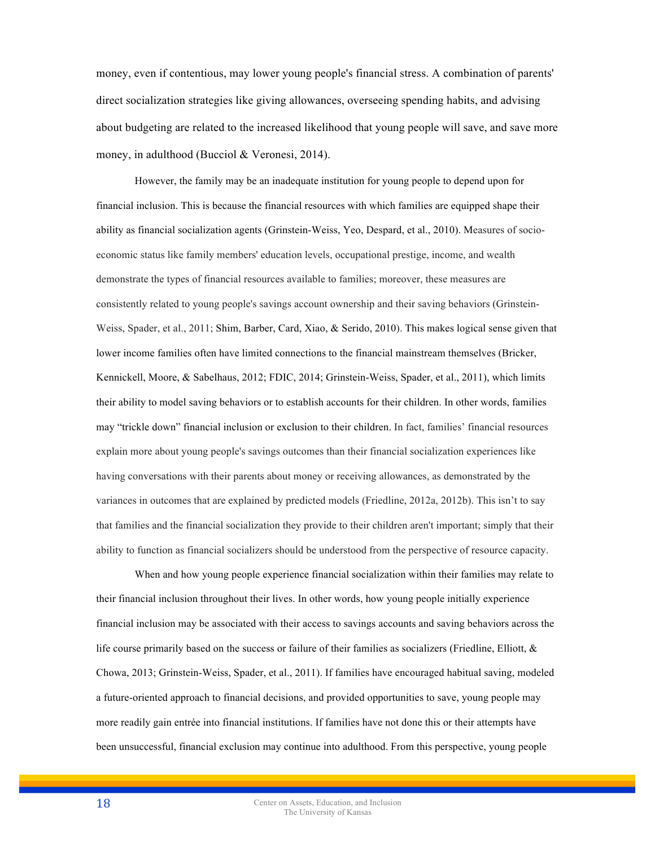money, even if contentious, may lower young people's financial stress. A combination of parents' direct socialization strategies like giving allowances, overseeing spending habits, and advising about budgeting are related to the increased likelihood that young people will save, and save more money, in adulthood (Bucciol & Veronesi, 2014).

However, the family may be an inadequate institution for young people to depend upon for financial inclusion. This is because the financial resources with which families are equipped shape their ability as financial socialization agents (Grinstein-Weiss, Yeo, Despard, et al., 2010). Measures of socioeconomic status like family members' education levels, occupational prestige, income, and wealth demonstrate the types of financial resources available to families; moreover, these measures are consistently related to young people's savings account ownership and their saving behaviors (Grinstein-Weiss, Spader, et al., 2011; Shim, Barber, Card, Xiao, & Serido, 2010). This makes logical sense given that lower income families often have limited connections to the financial mainstream themselves (Bricker, Kennickell, Moore, & Sabelhaus, 2012; FDIC, 2014; Grinstein-Weiss, Spader, et al., 2011), which limits their ability to model saving behaviors or to establish accounts for their children. In other words, families may "trickle down" financial inclusion or exclusion to their children. In fact, families' financial resources explain more about young people's savings outcomes than their financial socialization experiences like having conversations with their parents about money or receiving allowances, as demonstrated by the variances in outcomes that are explained by predicted models (Friedline, 2012a, 2012b). This isn't to say that families and the financial socialization they provide to their children aren't important; simply that their ability to function as financial socializers should be understood from the perspective of resource capacity.

When and how young people experience financial socialization within their families may relate to their financial inclusion throughout their lives. In other words, how young people initially experience financial inclusion may be associated with their access to savings accounts and saving behaviors across the life course primarily based on the success or failure of their families as socializers (Friedline, Elliott, & Chowa, 2013; Grinstein-Weiss, Spader, et al., 2011). If families have encouraged habitual saving, modeled a future-oriented approach to financial decisions, and provided opportunities to save, young people may more readily gain entrée into financial institutions. If families have not done this or their attempts have been unsuccessful, financial exclusion may continue into adulthood. From this perspective, young people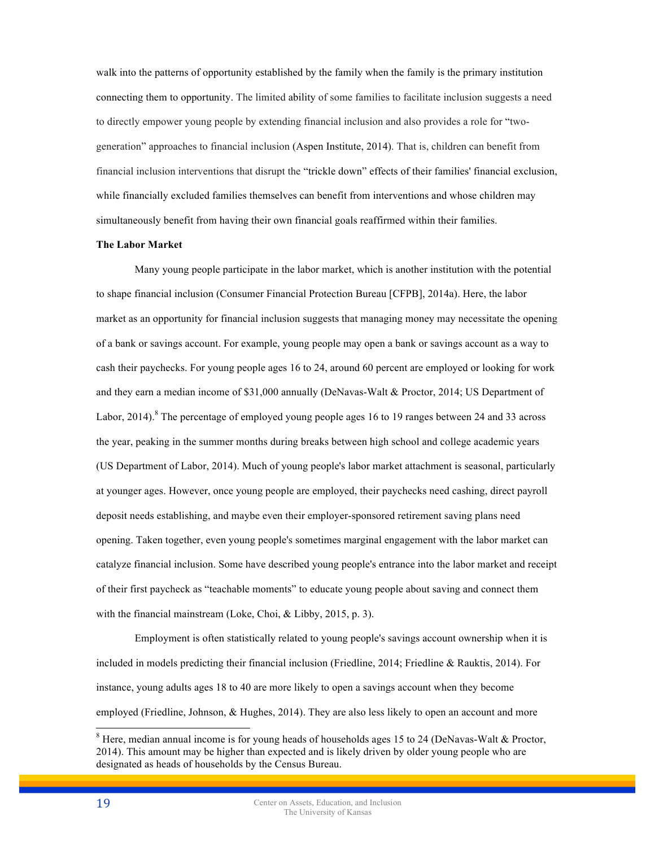walk into the patterns of opportunity established by the family when the family is the primary institution connecting them to opportunity. The limited ability of some families to facilitate inclusion suggests a need to directly empower young people by extending financial inclusion and also provides a role for "twogeneration" approaches to financial inclusion (Aspen Institute, 2014). That is, children can benefit from financial inclusion interventions that disrupt the "trickle down" effects of their families' financial exclusion, while financially excluded families themselves can benefit from interventions and whose children may simultaneously benefit from having their own financial goals reaffirmed within their families.

#### **The Labor Market**

Many young people participate in the labor market, which is another institution with the potential to shape financial inclusion (Consumer Financial Protection Bureau [CFPB], 2014a). Here, the labor market as an opportunity for financial inclusion suggests that managing money may necessitate the opening of a bank or savings account. For example, young people may open a bank or savings account as a way to cash their paychecks. For young people ages 16 to 24, around 60 percent are employed or looking for work and they earn a median income of \$31,000 annually (DeNavas-Walt & Proctor, 2014; US Department of Labor, 2014).<sup>8</sup> The percentage of employed young people ages 16 to 19 ranges between 24 and 33 across the year, peaking in the summer months during breaks between high school and college academic years (US Department of Labor, 2014). Much of young people's labor market attachment is seasonal, particularly at younger ages. However, once young people are employed, their paychecks need cashing, direct payroll deposit needs establishing, and maybe even their employer-sponsored retirement saving plans need opening. Taken together, even young people's sometimes marginal engagement with the labor market can catalyze financial inclusion. Some have described young people's entrance into the labor market and receipt of their first paycheck as "teachable moments" to educate young people about saving and connect them with the financial mainstream (Loke, Choi, & Libby, 2015, p. 3).

Employment is often statistically related to young people's savings account ownership when it is included in models predicting their financial inclusion (Friedline, 2014; Friedline & Rauktis, 2014). For instance, young adults ages 18 to 40 are more likely to open a savings account when they become employed (Friedline, Johnson, & Hughes, 2014). They are also less likely to open an account and more

<sup>&</sup>lt;sup>8</sup> Here, median annual income is for young heads of households ages 15 to 24 (DeNavas-Walt & Proctor, 2014). This amount may be higher than expected and is likely driven by older young people who are designated as heads of households by the Census Bureau.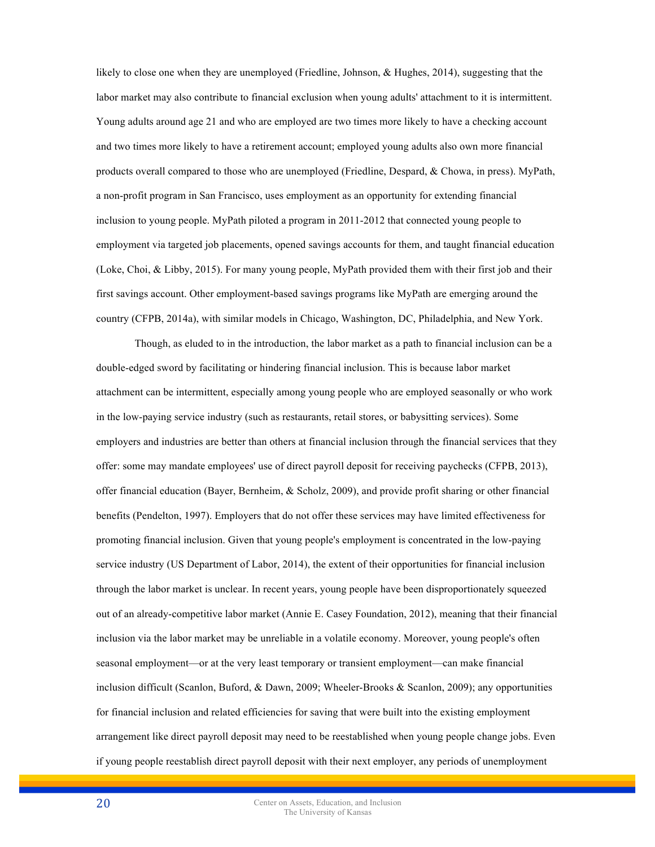likely to close one when they are unemployed (Friedline, Johnson, & Hughes, 2014), suggesting that the labor market may also contribute to financial exclusion when young adults' attachment to it is intermittent. Young adults around age 21 and who are employed are two times more likely to have a checking account and two times more likely to have a retirement account; employed young adults also own more financial products overall compared to those who are unemployed (Friedline, Despard, & Chowa, in press). MyPath, a non-profit program in San Francisco, uses employment as an opportunity for extending financial inclusion to young people. MyPath piloted a program in 2011-2012 that connected young people to employment via targeted job placements, opened savings accounts for them, and taught financial education (Loke, Choi, & Libby, 2015). For many young people, MyPath provided them with their first job and their first savings account. Other employment-based savings programs like MyPath are emerging around the country (CFPB, 2014a), with similar models in Chicago, Washington, DC, Philadelphia, and New York.

Though, as eluded to in the introduction, the labor market as a path to financial inclusion can be a double-edged sword by facilitating or hindering financial inclusion. This is because labor market attachment can be intermittent, especially among young people who are employed seasonally or who work in the low-paying service industry (such as restaurants, retail stores, or babysitting services). Some employers and industries are better than others at financial inclusion through the financial services that they offer: some may mandate employees' use of direct payroll deposit for receiving paychecks (CFPB, 2013), offer financial education (Bayer, Bernheim, & Scholz, 2009), and provide profit sharing or other financial benefits (Pendelton, 1997). Employers that do not offer these services may have limited effectiveness for promoting financial inclusion. Given that young people's employment is concentrated in the low-paying service industry (US Department of Labor, 2014), the extent of their opportunities for financial inclusion through the labor market is unclear. In recent years, young people have been disproportionately squeezed out of an already-competitive labor market (Annie E. Casey Foundation, 2012), meaning that their financial inclusion via the labor market may be unreliable in a volatile economy. Moreover, young people's often seasonal employment—or at the very least temporary or transient employment—can make financial inclusion difficult (Scanlon, Buford, & Dawn, 2009; Wheeler-Brooks & Scanlon, 2009); any opportunities for financial inclusion and related efficiencies for saving that were built into the existing employment arrangement like direct payroll deposit may need to be reestablished when young people change jobs. Even if young people reestablish direct payroll deposit with their next employer, any periods of unemployment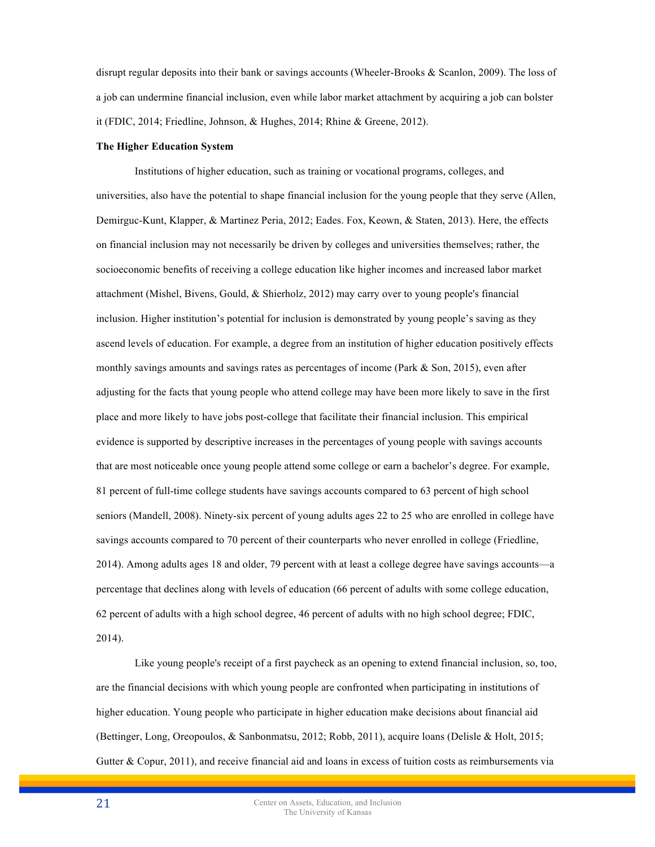disrupt regular deposits into their bank or savings accounts (Wheeler-Brooks & Scanlon, 2009). The loss of a job can undermine financial inclusion, even while labor market attachment by acquiring a job can bolster it (FDIC, 2014; Friedline, Johnson, & Hughes, 2014; Rhine & Greene, 2012).

#### **The Higher Education System**

Institutions of higher education, such as training or vocational programs, colleges, and universities, also have the potential to shape financial inclusion for the young people that they serve (Allen, Demirguc-Kunt, Klapper, & Martinez Peria, 2012; Eades. Fox, Keown, & Staten, 2013). Here, the effects on financial inclusion may not necessarily be driven by colleges and universities themselves; rather, the socioeconomic benefits of receiving a college education like higher incomes and increased labor market attachment (Mishel, Bivens, Gould, & Shierholz, 2012) may carry over to young people's financial inclusion. Higher institution's potential for inclusion is demonstrated by young people's saving as they ascend levels of education. For example, a degree from an institution of higher education positively effects monthly savings amounts and savings rates as percentages of income (Park & Son, 2015), even after adjusting for the facts that young people who attend college may have been more likely to save in the first place and more likely to have jobs post-college that facilitate their financial inclusion. This empirical evidence is supported by descriptive increases in the percentages of young people with savings accounts that are most noticeable once young people attend some college or earn a bachelor's degree. For example, 81 percent of full-time college students have savings accounts compared to 63 percent of high school seniors (Mandell, 2008). Ninety-six percent of young adults ages 22 to 25 who are enrolled in college have savings accounts compared to 70 percent of their counterparts who never enrolled in college (Friedline, 2014). Among adults ages 18 and older, 79 percent with at least a college degree have savings accounts—a percentage that declines along with levels of education (66 percent of adults with some college education, 62 percent of adults with a high school degree, 46 percent of adults with no high school degree; FDIC, 2014).

Like young people's receipt of a first paycheck as an opening to extend financial inclusion, so, too, are the financial decisions with which young people are confronted when participating in institutions of higher education. Young people who participate in higher education make decisions about financial aid (Bettinger, Long, Oreopoulos, & Sanbonmatsu, 2012; Robb, 2011), acquire loans (Delisle & Holt, 2015; Gutter & Copur, 2011), and receive financial aid and loans in excess of tuition costs as reimbursements via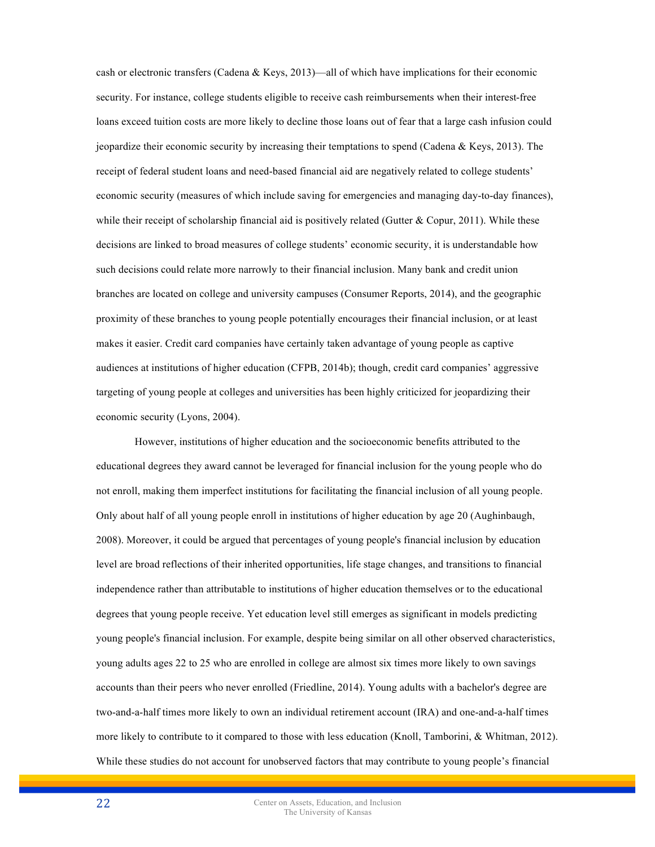cash or electronic transfers (Cadena & Keys, 2013)—all of which have implications for their economic security. For instance, college students eligible to receive cash reimbursements when their interest-free loans exceed tuition costs are more likely to decline those loans out of fear that a large cash infusion could jeopardize their economic security by increasing their temptations to spend (Cadena & Keys, 2013). The receipt of federal student loans and need-based financial aid are negatively related to college students' economic security (measures of which include saving for emergencies and managing day-to-day finances), while their receipt of scholarship financial aid is positively related (Gutter  $\&$  Copur, 2011). While these decisions are linked to broad measures of college students' economic security, it is understandable how such decisions could relate more narrowly to their financial inclusion. Many bank and credit union branches are located on college and university campuses (Consumer Reports, 2014), and the geographic proximity of these branches to young people potentially encourages their financial inclusion, or at least makes it easier. Credit card companies have certainly taken advantage of young people as captive audiences at institutions of higher education (CFPB, 2014b); though, credit card companies' aggressive targeting of young people at colleges and universities has been highly criticized for jeopardizing their economic security (Lyons, 2004).

However, institutions of higher education and the socioeconomic benefits attributed to the educational degrees they award cannot be leveraged for financial inclusion for the young people who do not enroll, making them imperfect institutions for facilitating the financial inclusion of all young people. Only about half of all young people enroll in institutions of higher education by age 20 (Aughinbaugh, 2008). Moreover, it could be argued that percentages of young people's financial inclusion by education level are broad reflections of their inherited opportunities, life stage changes, and transitions to financial independence rather than attributable to institutions of higher education themselves or to the educational degrees that young people receive. Yet education level still emerges as significant in models predicting young people's financial inclusion. For example, despite being similar on all other observed characteristics, young adults ages 22 to 25 who are enrolled in college are almost six times more likely to own savings accounts than their peers who never enrolled (Friedline, 2014). Young adults with a bachelor's degree are two-and-a-half times more likely to own an individual retirement account (IRA) and one-and-a-half times more likely to contribute to it compared to those with less education (Knoll, Tamborini, & Whitman, 2012). While these studies do not account for unobserved factors that may contribute to young people's financial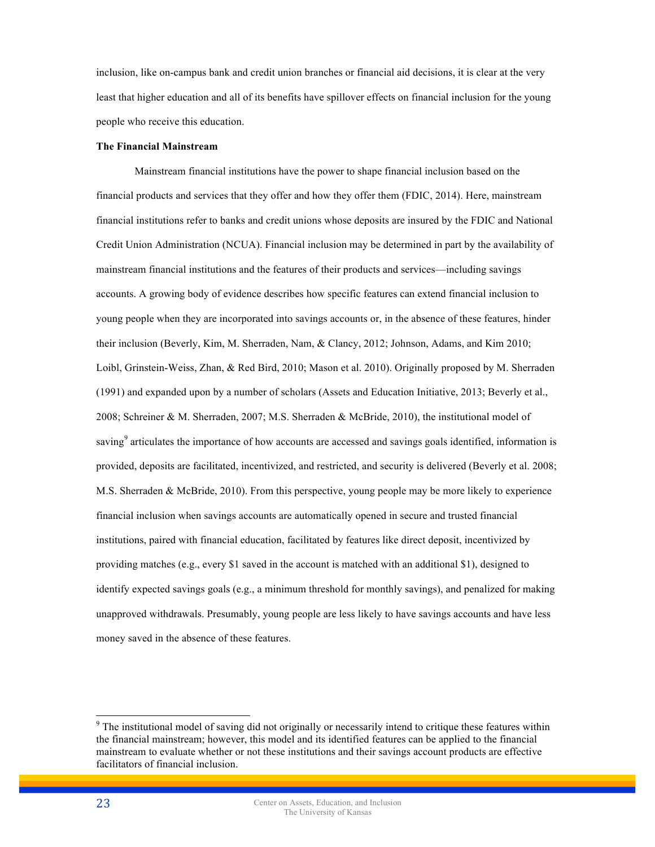inclusion, like on-campus bank and credit union branches or financial aid decisions, it is clear at the very least that higher education and all of its benefits have spillover effects on financial inclusion for the young people who receive this education.

## **The Financial Mainstream**

Mainstream financial institutions have the power to shape financial inclusion based on the financial products and services that they offer and how they offer them (FDIC, 2014). Here, mainstream financial institutions refer to banks and credit unions whose deposits are insured by the FDIC and National Credit Union Administration (NCUA). Financial inclusion may be determined in part by the availability of mainstream financial institutions and the features of their products and services—including savings accounts. A growing body of evidence describes how specific features can extend financial inclusion to young people when they are incorporated into savings accounts or, in the absence of these features, hinder their inclusion (Beverly, Kim, M. Sherraden, Nam, & Clancy, 2012; Johnson, Adams, and Kim 2010; Loibl, Grinstein-Weiss, Zhan, & Red Bird, 2010; Mason et al. 2010). Originally proposed by M. Sherraden (1991) and expanded upon by a number of scholars (Assets and Education Initiative, 2013; Beverly et al., 2008; Schreiner & M. Sherraden, 2007; M.S. Sherraden & McBride, 2010), the institutional model of saving<sup>9</sup> articulates the importance of how accounts are accessed and savings goals identified, information is provided, deposits are facilitated, incentivized, and restricted, and security is delivered (Beverly et al. 2008; M.S. Sherraden & McBride, 2010). From this perspective, young people may be more likely to experience financial inclusion when savings accounts are automatically opened in secure and trusted financial institutions, paired with financial education, facilitated by features like direct deposit, incentivized by providing matches (e.g., every \$1 saved in the account is matched with an additional \$1), designed to identify expected savings goals (e.g., a minimum threshold for monthly savings), and penalized for making unapproved withdrawals. Presumably, young people are less likely to have savings accounts and have less money saved in the absence of these features.

<sup>&</sup>lt;sup>9</sup> The institutional model of saving did not originally or necessarily intend to critique these features within the financial mainstream; however, this model and its identified features can be applied to the financial mainstream to evaluate whether or not these institutions and their savings account products are effective facilitators of financial inclusion.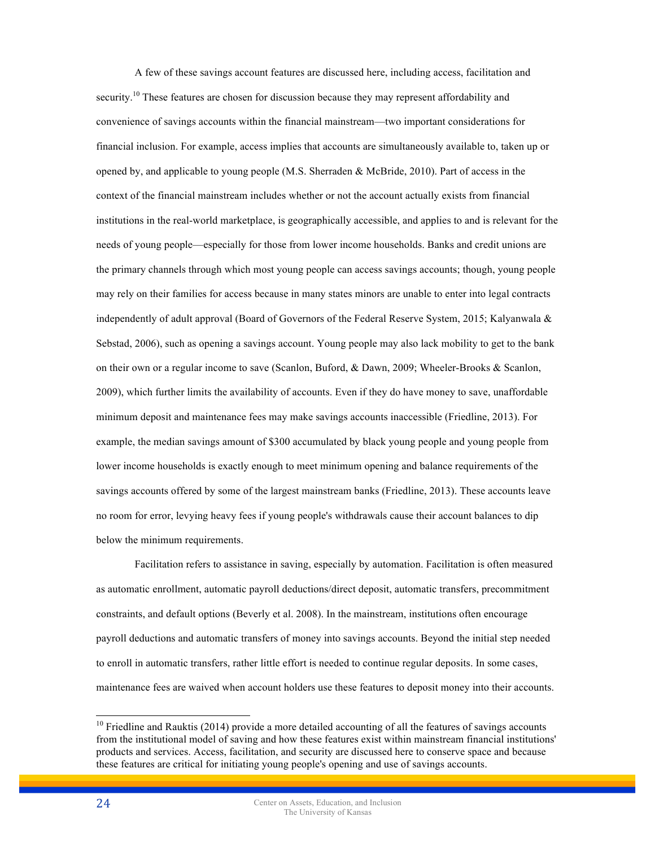A few of these savings account features are discussed here, including access, facilitation and security.<sup>10</sup> These features are chosen for discussion because they may represent affordability and convenience of savings accounts within the financial mainstream—two important considerations for financial inclusion. For example, access implies that accounts are simultaneously available to, taken up or opened by, and applicable to young people (M.S. Sherraden & McBride, 2010). Part of access in the context of the financial mainstream includes whether or not the account actually exists from financial institutions in the real-world marketplace, is geographically accessible, and applies to and is relevant for the needs of young people—especially for those from lower income households. Banks and credit unions are the primary channels through which most young people can access savings accounts; though, young people may rely on their families for access because in many states minors are unable to enter into legal contracts independently of adult approval (Board of Governors of the Federal Reserve System, 2015; Kalyanwala & Sebstad, 2006), such as opening a savings account. Young people may also lack mobility to get to the bank on their own or a regular income to save (Scanlon, Buford, & Dawn, 2009; Wheeler-Brooks & Scanlon, 2009), which further limits the availability of accounts. Even if they do have money to save, unaffordable minimum deposit and maintenance fees may make savings accounts inaccessible (Friedline, 2013). For example, the median savings amount of \$300 accumulated by black young people and young people from lower income households is exactly enough to meet minimum opening and balance requirements of the savings accounts offered by some of the largest mainstream banks (Friedline, 2013). These accounts leave no room for error, levying heavy fees if young people's withdrawals cause their account balances to dip below the minimum requirements.

Facilitation refers to assistance in saving, especially by automation. Facilitation is often measured as automatic enrollment, automatic payroll deductions/direct deposit, automatic transfers, precommitment constraints, and default options (Beverly et al. 2008). In the mainstream, institutions often encourage payroll deductions and automatic transfers of money into savings accounts. Beyond the initial step needed to enroll in automatic transfers, rather little effort is needed to continue regular deposits. In some cases, maintenance fees are waived when account holders use these features to deposit money into their accounts.

 $10$  Friedline and Rauktis (2014) provide a more detailed accounting of all the features of savings accounts from the institutional model of saving and how these features exist within mainstream financial institutions' products and services. Access, facilitation, and security are discussed here to conserve space and because these features are critical for initiating young people's opening and use of savings accounts.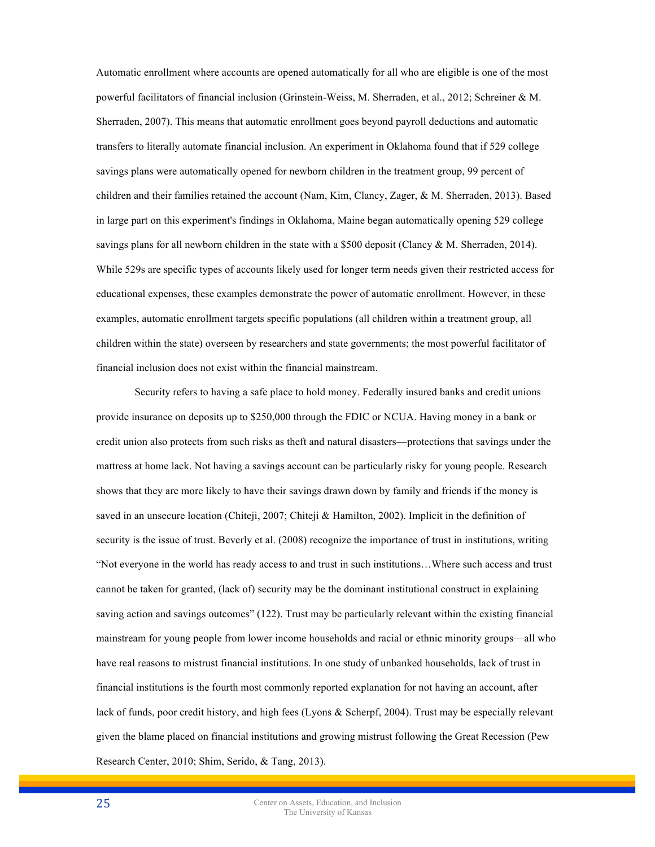Automatic enrollment where accounts are opened automatically for all who are eligible is one of the most powerful facilitators of financial inclusion (Grinstein-Weiss, M. Sherraden, et al., 2012; Schreiner & M. Sherraden, 2007). This means that automatic enrollment goes beyond payroll deductions and automatic transfers to literally automate financial inclusion. An experiment in Oklahoma found that if 529 college savings plans were automatically opened for newborn children in the treatment group, 99 percent of children and their families retained the account (Nam, Kim, Clancy, Zager, & M. Sherraden, 2013). Based in large part on this experiment's findings in Oklahoma, Maine began automatically opening 529 college savings plans for all newborn children in the state with a \$500 deposit (Clancy  $\&$  M. Sherraden, 2014). While 529s are specific types of accounts likely used for longer term needs given their restricted access for educational expenses, these examples demonstrate the power of automatic enrollment. However, in these examples, automatic enrollment targets specific populations (all children within a treatment group, all children within the state) overseen by researchers and state governments; the most powerful facilitator of financial inclusion does not exist within the financial mainstream.

Security refers to having a safe place to hold money. Federally insured banks and credit unions provide insurance on deposits up to \$250,000 through the FDIC or NCUA. Having money in a bank or credit union also protects from such risks as theft and natural disasters—protections that savings under the mattress at home lack. Not having a savings account can be particularly risky for young people. Research shows that they are more likely to have their savings drawn down by family and friends if the money is saved in an unsecure location (Chiteji, 2007; Chiteji & Hamilton, 2002). Implicit in the definition of security is the issue of trust. Beverly et al. (2008) recognize the importance of trust in institutions, writing "Not everyone in the world has ready access to and trust in such institutions…Where such access and trust cannot be taken for granted, (lack of) security may be the dominant institutional construct in explaining saving action and savings outcomes" (122). Trust may be particularly relevant within the existing financial mainstream for young people from lower income households and racial or ethnic minority groups—all who have real reasons to mistrust financial institutions. In one study of unbanked households, lack of trust in financial institutions is the fourth most commonly reported explanation for not having an account, after lack of funds, poor credit history, and high fees (Lyons & Scherpf, 2004). Trust may be especially relevant given the blame placed on financial institutions and growing mistrust following the Great Recession (Pew Research Center, 2010; Shim, Serido, & Tang, 2013).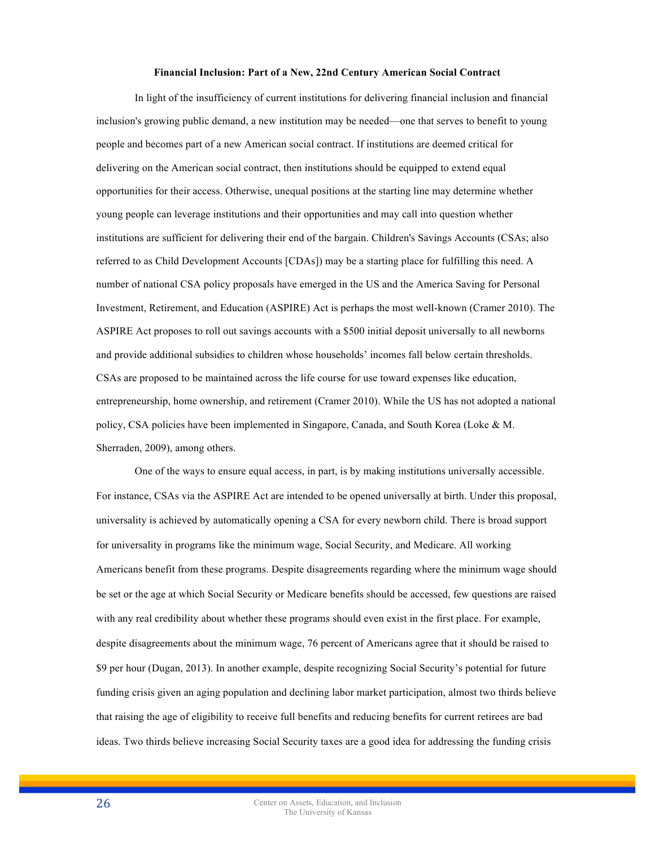#### **Financial Inclusion: Part of a New, 22nd Century American Social Contract**

In light of the insufficiency of current institutions for delivering financial inclusion and financial inclusion's growing public demand, a new institution may be needed—one that serves to benefit to young people and becomes part of a new American social contract. If institutions are deemed critical for delivering on the American social contract, then institutions should be equipped to extend equal opportunities for their access. Otherwise, unequal positions at the starting line may determine whether young people can leverage institutions and their opportunities and may call into question whether institutions are sufficient for delivering their end of the bargain. Children's Savings Accounts (CSAs; also referred to as Child Development Accounts [CDAs]) may be a starting place for fulfilling this need. A number of national CSA policy proposals have emerged in the US and the America Saving for Personal Investment, Retirement, and Education (ASPIRE) Act is perhaps the most well-known (Cramer 2010). The ASPIRE Act proposes to roll out savings accounts with a \$500 initial deposit universally to all newborns and provide additional subsidies to children whose households' incomes fall below certain thresholds. CSAs are proposed to be maintained across the life course for use toward expenses like education, entrepreneurship, home ownership, and retirement (Cramer 2010). While the US has not adopted a national policy, CSA policies have been implemented in Singapore, Canada, and South Korea (Loke & M. Sherraden, 2009), among others.

One of the ways to ensure equal access, in part, is by making institutions universally accessible. For instance, CSAs via the ASPIRE Act are intended to be opened universally at birth. Under this proposal, universality is achieved by automatically opening a CSA for every newborn child. There is broad support for universality in programs like the minimum wage, Social Security, and Medicare. All working Americans benefit from these programs. Despite disagreements regarding where the minimum wage should be set or the age at which Social Security or Medicare benefits should be accessed, few questions are raised with any real credibility about whether these programs should even exist in the first place. For example, despite disagreements about the minimum wage, 76 percent of Americans agree that it should be raised to \$9 per hour (Dugan, 2013). In another example, despite recognizing Social Security's potential for future funding crisis given an aging population and declining labor market participation, almost two thirds believe that raising the age of eligibility to receive full benefits and reducing benefits for current retirees are bad ideas. Two thirds believe increasing Social Security taxes are a good idea for addressing the funding crisis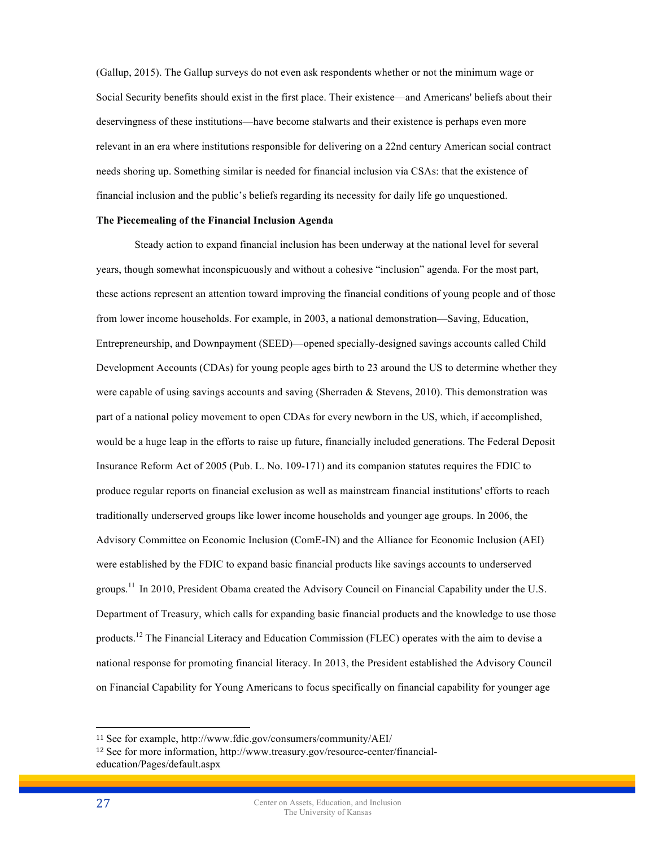(Gallup, 2015). The Gallup surveys do not even ask respondents whether or not the minimum wage or Social Security benefits should exist in the first place. Their existence—and Americans' beliefs about their deservingness of these institutions—have become stalwarts and their existence is perhaps even more relevant in an era where institutions responsible for delivering on a 22nd century American social contract needs shoring up. Something similar is needed for financial inclusion via CSAs: that the existence of financial inclusion and the public's beliefs regarding its necessity for daily life go unquestioned.

#### **The Piecemealing of the Financial Inclusion Agenda**

Steady action to expand financial inclusion has been underway at the national level for several years, though somewhat inconspicuously and without a cohesive "inclusion" agenda. For the most part, these actions represent an attention toward improving the financial conditions of young people and of those from lower income households. For example, in 2003, a national demonstration—Saving, Education, Entrepreneurship, and Downpayment (SEED)—opened specially-designed savings accounts called Child Development Accounts (CDAs) for young people ages birth to 23 around the US to determine whether they were capable of using savings accounts and saving (Sherraden & Stevens, 2010). This demonstration was part of a national policy movement to open CDAs for every newborn in the US, which, if accomplished, would be a huge leap in the efforts to raise up future, financially included generations. The Federal Deposit Insurance Reform Act of 2005 (Pub. L. No. 109-171) and its companion statutes requires the FDIC to produce regular reports on financial exclusion as well as mainstream financial institutions' efforts to reach traditionally underserved groups like lower income households and younger age groups. In 2006, the Advisory Committee on Economic Inclusion (ComE-IN) and the Alliance for Economic Inclusion (AEI) were established by the FDIC to expand basic financial products like savings accounts to underserved groups.<sup>11</sup> In 2010, President Obama created the Advisory Council on Financial Capability under the U.S. Department of Treasury, which calls for expanding basic financial products and the knowledge to use those products.<sup>12</sup> The Financial Literacy and Education Commission (FLEC) operates with the aim to devise a national response for promoting financial literacy. In 2013, the President established the Advisory Council on Financial Capability for Young Americans to focus specifically on financial capability for younger age

 $\overline{a}$ 

<sup>11</sup> See for example, http://www.fdic.gov/consumers/community/AEI/

<sup>12</sup> See for more information, http://www.treasury.gov/resource-center/financialeducation/Pages/default.aspx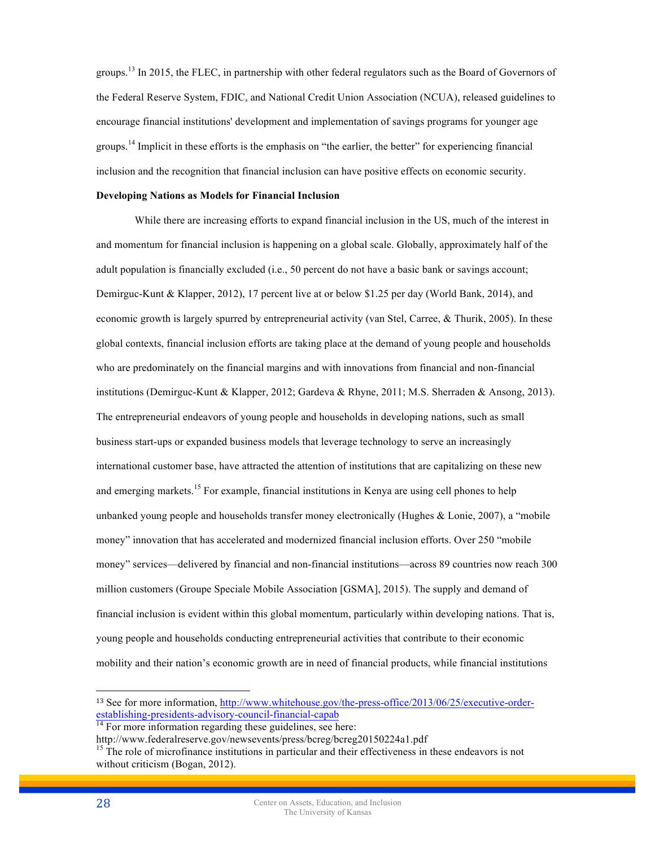groups.<sup>13</sup> In 2015, the FLEC, in partnership with other federal regulators such as the Board of Governors of the Federal Reserve System, FDIC, and National Credit Union Association (NCUA), released guidelines to encourage financial institutions' development and implementation of savings programs for younger age groups.<sup>14</sup> Implicit in these efforts is the emphasis on "the earlier, the better" for experiencing financial inclusion and the recognition that financial inclusion can have positive effects on economic security.

## **Developing Nations as Models for Financial Inclusion**

While there are increasing efforts to expand financial inclusion in the US, much of the interest in and momentum for financial inclusion is happening on a global scale. Globally, approximately half of the adult population is financially excluded (i.e., 50 percent do not have a basic bank or savings account; Demirguc-Kunt & Klapper, 2012), 17 percent live at or below \$1.25 per day (World Bank, 2014), and economic growth is largely spurred by entrepreneurial activity (van Stel, Carree, & Thurik, 2005). In these global contexts, financial inclusion efforts are taking place at the demand of young people and households who are predominately on the financial margins and with innovations from financial and non-financial institutions (Demirguc-Kunt & Klapper, 2012; Gardeva & Rhyne, 2011; M.S. Sherraden & Ansong, 2013). The entrepreneurial endeavors of young people and households in developing nations, such as small business start-ups or expanded business models that leverage technology to serve an increasingly international customer base, have attracted the attention of institutions that are capitalizing on these new and emerging markets.<sup>15</sup> For example, financial institutions in Kenya are using cell phones to help unbanked young people and households transfer money electronically (Hughes & Lonie, 2007), a "mobile money" innovation that has accelerated and modernized financial inclusion efforts. Over 250 "mobile money" services—delivered by financial and non-financial institutions—across 89 countries now reach 300 million customers (Groupe Speciale Mobile Association [GSMA], 2015). The supply and demand of financial inclusion is evident within this global momentum, particularly within developing nations. That is, young people and households conducting entrepreneurial activities that contribute to their economic mobility and their nation's economic growth are in need of financial products, while financial institutions

 $\overline{a}$ 

<sup>&</sup>lt;sup>13</sup> See for more information, http://www.whitehouse.gov/the-press-office/2013/06/25/executive-orderestablishing-presidents-advisory-council-financial-capab<br><sup>14</sup> For more information regarding these guidelines, see here:<br>http://www.federalreserve.gov/newsevents/press/bcreg/bcreg20150224a1.pdf

 $\frac{15}{15}$  The role of microfinance institutions in particular and their effectiveness in these endeavors is not without criticism (Bogan, 2012).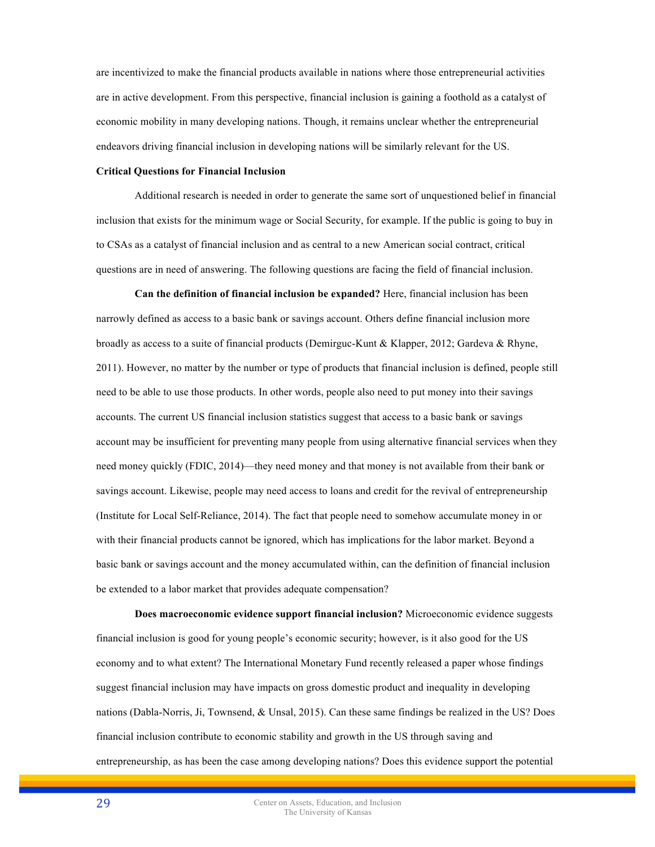are incentivized to make the financial products available in nations where those entrepreneurial activities are in active development. From this perspective, financial inclusion is gaining a foothold as a catalyst of economic mobility in many developing nations. Though, it remains unclear whether the entrepreneurial endeavors driving financial inclusion in developing nations will be similarly relevant for the US.

#### **Critical Questions for Financial Inclusion**

Additional research is needed in order to generate the same sort of unquestioned belief in financial inclusion that exists for the minimum wage or Social Security, for example. If the public is going to buy in to CSAs as a catalyst of financial inclusion and as central to a new American social contract, critical questions are in need of answering. The following questions are facing the field of financial inclusion.

**Can the definition of financial inclusion be expanded?** Here, financial inclusion has been narrowly defined as access to a basic bank or savings account. Others define financial inclusion more broadly as access to a suite of financial products (Demirguc-Kunt & Klapper, 2012; Gardeva & Rhyne, 2011). However, no matter by the number or type of products that financial inclusion is defined, people still need to be able to use those products. In other words, people also need to put money into their savings accounts. The current US financial inclusion statistics suggest that access to a basic bank or savings account may be insufficient for preventing many people from using alternative financial services when they need money quickly (FDIC, 2014)—they need money and that money is not available from their bank or savings account. Likewise, people may need access to loans and credit for the revival of entrepreneurship (Institute for Local Self-Reliance, 2014). The fact that people need to somehow accumulate money in or with their financial products cannot be ignored, which has implications for the labor market. Beyond a basic bank or savings account and the money accumulated within, can the definition of financial inclusion be extended to a labor market that provides adequate compensation?

**Does macroeconomic evidence support financial inclusion?** Microeconomic evidence suggests financial inclusion is good for young people's economic security; however, is it also good for the US economy and to what extent? The International Monetary Fund recently released a paper whose findings suggest financial inclusion may have impacts on gross domestic product and inequality in developing nations (Dabla-Norris, Ji, Townsend, & Unsal, 2015). Can these same findings be realized in the US? Does financial inclusion contribute to economic stability and growth in the US through saving and entrepreneurship, as has been the case among developing nations? Does this evidence support the potential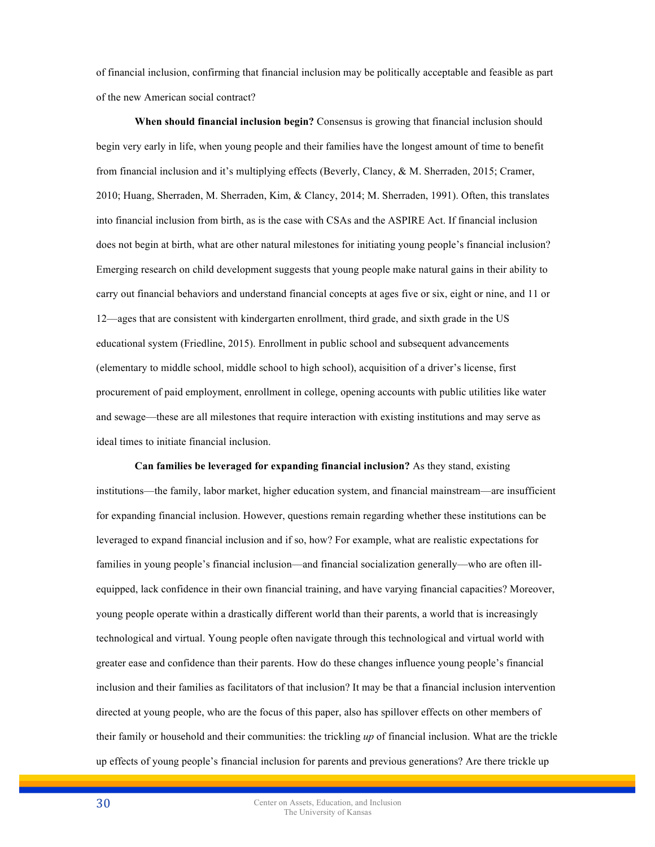of financial inclusion, confirming that financial inclusion may be politically acceptable and feasible as part of the new American social contract?

**When should financial inclusion begin?** Consensus is growing that financial inclusion should begin very early in life, when young people and their families have the longest amount of time to benefit from financial inclusion and it's multiplying effects (Beverly, Clancy, & M. Sherraden, 2015; Cramer, 2010; Huang, Sherraden, M. Sherraden, Kim, & Clancy, 2014; M. Sherraden, 1991). Often, this translates into financial inclusion from birth, as is the case with CSAs and the ASPIRE Act. If financial inclusion does not begin at birth, what are other natural milestones for initiating young people's financial inclusion? Emerging research on child development suggests that young people make natural gains in their ability to carry out financial behaviors and understand financial concepts at ages five or six, eight or nine, and 11 or 12—ages that are consistent with kindergarten enrollment, third grade, and sixth grade in the US educational system (Friedline, 2015). Enrollment in public school and subsequent advancements (elementary to middle school, middle school to high school), acquisition of a driver's license, first procurement of paid employment, enrollment in college, opening accounts with public utilities like water and sewage—these are all milestones that require interaction with existing institutions and may serve as ideal times to initiate financial inclusion.

**Can families be leveraged for expanding financial inclusion?** As they stand, existing institutions—the family, labor market, higher education system, and financial mainstream—are insufficient for expanding financial inclusion. However, questions remain regarding whether these institutions can be leveraged to expand financial inclusion and if so, how? For example, what are realistic expectations for families in young people's financial inclusion—and financial socialization generally—who are often illequipped, lack confidence in their own financial training, and have varying financial capacities? Moreover, young people operate within a drastically different world than their parents, a world that is increasingly technological and virtual. Young people often navigate through this technological and virtual world with greater ease and confidence than their parents. How do these changes influence young people's financial inclusion and their families as facilitators of that inclusion? It may be that a financial inclusion intervention directed at young people, who are the focus of this paper, also has spillover effects on other members of their family or household and their communities: the trickling *up* of financial inclusion. What are the trickle up effects of young people's financial inclusion for parents and previous generations? Are there trickle up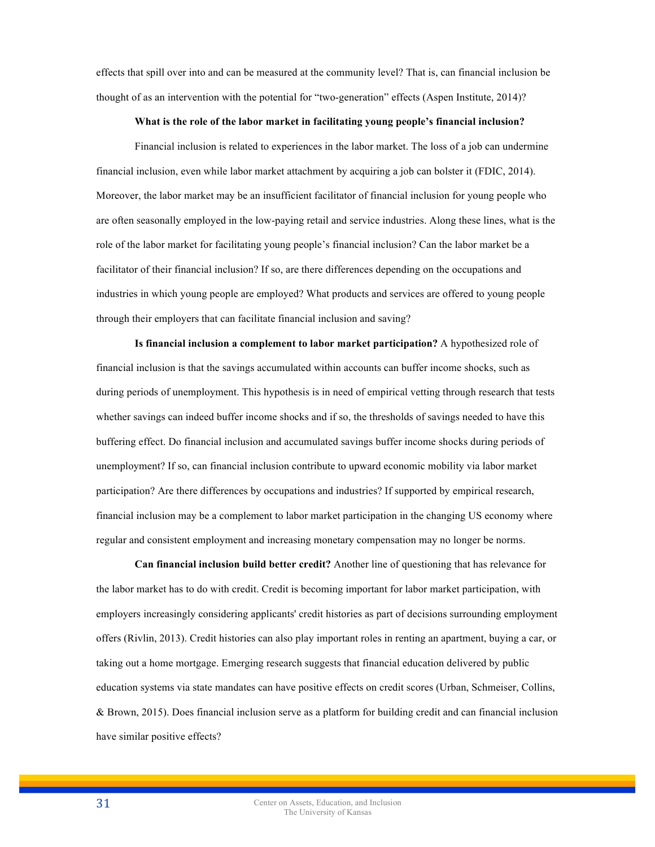effects that spill over into and can be measured at the community level? That is, can financial inclusion be thought of as an intervention with the potential for "two-generation" effects (Aspen Institute, 2014)?

#### **What is the role of the labor market in facilitating young people's financial inclusion?**

Financial inclusion is related to experiences in the labor market. The loss of a job can undermine financial inclusion, even while labor market attachment by acquiring a job can bolster it (FDIC, 2014). Moreover, the labor market may be an insufficient facilitator of financial inclusion for young people who are often seasonally employed in the low-paying retail and service industries. Along these lines, what is the role of the labor market for facilitating young people's financial inclusion? Can the labor market be a facilitator of their financial inclusion? If so, are there differences depending on the occupations and industries in which young people are employed? What products and services are offered to young people through their employers that can facilitate financial inclusion and saving?

**Is financial inclusion a complement to labor market participation?** A hypothesized role of financial inclusion is that the savings accumulated within accounts can buffer income shocks, such as during periods of unemployment. This hypothesis is in need of empirical vetting through research that tests whether savings can indeed buffer income shocks and if so, the thresholds of savings needed to have this buffering effect. Do financial inclusion and accumulated savings buffer income shocks during periods of unemployment? If so, can financial inclusion contribute to upward economic mobility via labor market participation? Are there differences by occupations and industries? If supported by empirical research, financial inclusion may be a complement to labor market participation in the changing US economy where regular and consistent employment and increasing monetary compensation may no longer be norms.

**Can financial inclusion build better credit?** Another line of questioning that has relevance for the labor market has to do with credit. Credit is becoming important for labor market participation, with employers increasingly considering applicants' credit histories as part of decisions surrounding employment offers (Rivlin, 2013). Credit histories can also play important roles in renting an apartment, buying a car, or taking out a home mortgage. Emerging research suggests that financial education delivered by public education systems via state mandates can have positive effects on credit scores (Urban, Schmeiser, Collins, & Brown, 2015). Does financial inclusion serve as a platform for building credit and can financial inclusion have similar positive effects?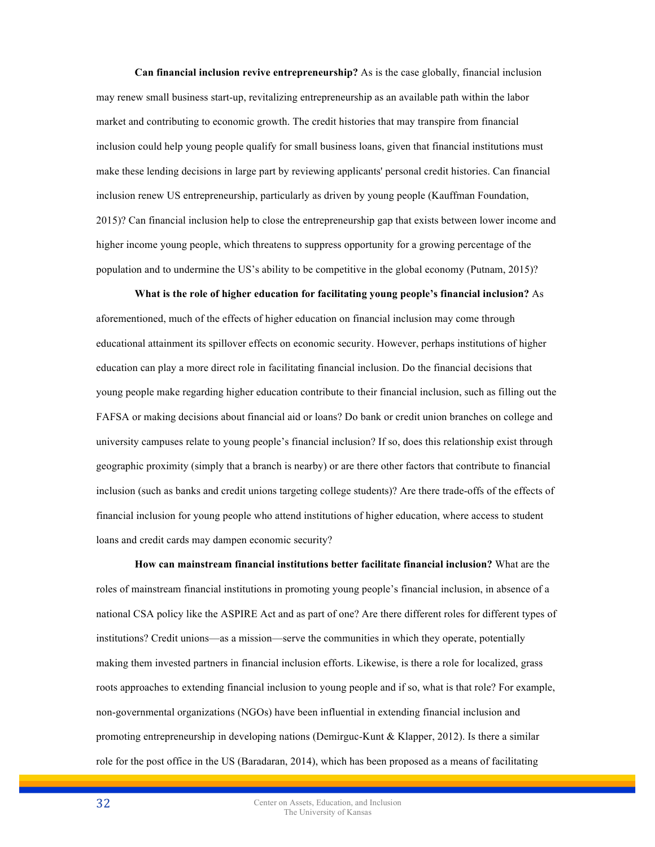**Can financial inclusion revive entrepreneurship?** As is the case globally, financial inclusion may renew small business start-up, revitalizing entrepreneurship as an available path within the labor market and contributing to economic growth. The credit histories that may transpire from financial inclusion could help young people qualify for small business loans, given that financial institutions must make these lending decisions in large part by reviewing applicants' personal credit histories. Can financial inclusion renew US entrepreneurship, particularly as driven by young people (Kauffman Foundation, 2015)? Can financial inclusion help to close the entrepreneurship gap that exists between lower income and higher income young people, which threatens to suppress opportunity for a growing percentage of the population and to undermine the US's ability to be competitive in the global economy (Putnam, 2015)?

**What is the role of higher education for facilitating young people's financial inclusion?** As aforementioned, much of the effects of higher education on financial inclusion may come through educational attainment its spillover effects on economic security. However, perhaps institutions of higher education can play a more direct role in facilitating financial inclusion. Do the financial decisions that young people make regarding higher education contribute to their financial inclusion, such as filling out the FAFSA or making decisions about financial aid or loans? Do bank or credit union branches on college and university campuses relate to young people's financial inclusion? If so, does this relationship exist through geographic proximity (simply that a branch is nearby) or are there other factors that contribute to financial inclusion (such as banks and credit unions targeting college students)? Are there trade-offs of the effects of financial inclusion for young people who attend institutions of higher education, where access to student loans and credit cards may dampen economic security?

**How can mainstream financial institutions better facilitate financial inclusion?** What are the roles of mainstream financial institutions in promoting young people's financial inclusion, in absence of a national CSA policy like the ASPIRE Act and as part of one? Are there different roles for different types of institutions? Credit unions—as a mission—serve the communities in which they operate, potentially making them invested partners in financial inclusion efforts. Likewise, is there a role for localized, grass roots approaches to extending financial inclusion to young people and if so, what is that role? For example, non-governmental organizations (NGOs) have been influential in extending financial inclusion and promoting entrepreneurship in developing nations (Demirguc-Kunt & Klapper, 2012). Is there a similar role for the post office in the US (Baradaran, 2014), which has been proposed as a means of facilitating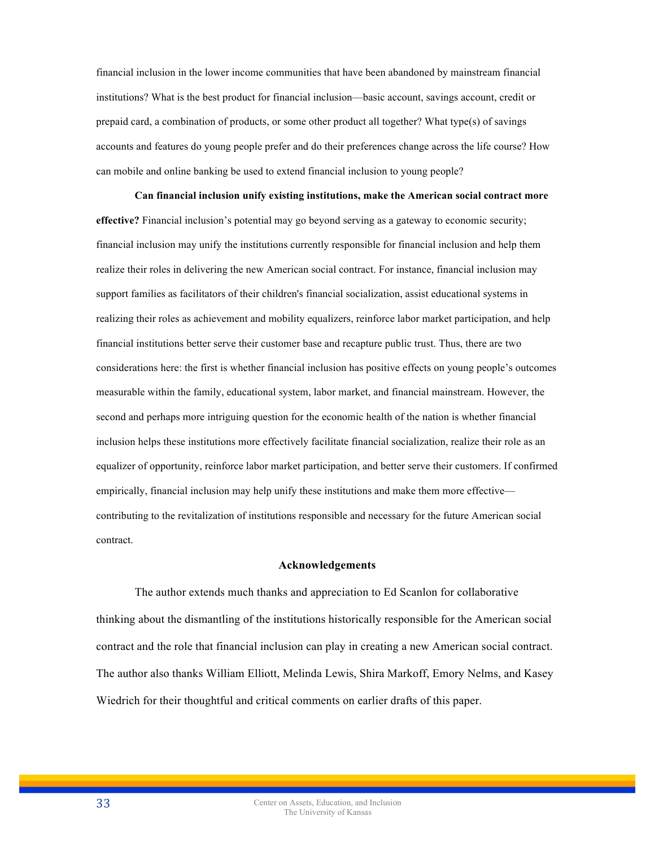financial inclusion in the lower income communities that have been abandoned by mainstream financial institutions? What is the best product for financial inclusion—basic account, savings account, credit or prepaid card, a combination of products, or some other product all together? What type(s) of savings accounts and features do young people prefer and do their preferences change across the life course? How can mobile and online banking be used to extend financial inclusion to young people?

**Can financial inclusion unify existing institutions, make the American social contract more effective?** Financial inclusion's potential may go beyond serving as a gateway to economic security; financial inclusion may unify the institutions currently responsible for financial inclusion and help them realize their roles in delivering the new American social contract. For instance, financial inclusion may support families as facilitators of their children's financial socialization, assist educational systems in realizing their roles as achievement and mobility equalizers, reinforce labor market participation, and help financial institutions better serve their customer base and recapture public trust. Thus, there are two considerations here: the first is whether financial inclusion has positive effects on young people's outcomes measurable within the family, educational system, labor market, and financial mainstream. However, the second and perhaps more intriguing question for the economic health of the nation is whether financial inclusion helps these institutions more effectively facilitate financial socialization, realize their role as an equalizer of opportunity, reinforce labor market participation, and better serve their customers. If confirmed empirically, financial inclusion may help unify these institutions and make them more effective contributing to the revitalization of institutions responsible and necessary for the future American social contract.

## **Acknowledgements**

The author extends much thanks and appreciation to Ed Scanlon for collaborative thinking about the dismantling of the institutions historically responsible for the American social contract and the role that financial inclusion can play in creating a new American social contract. The author also thanks William Elliott, Melinda Lewis, Shira Markoff, Emory Nelms, and Kasey Wiedrich for their thoughtful and critical comments on earlier drafts of this paper.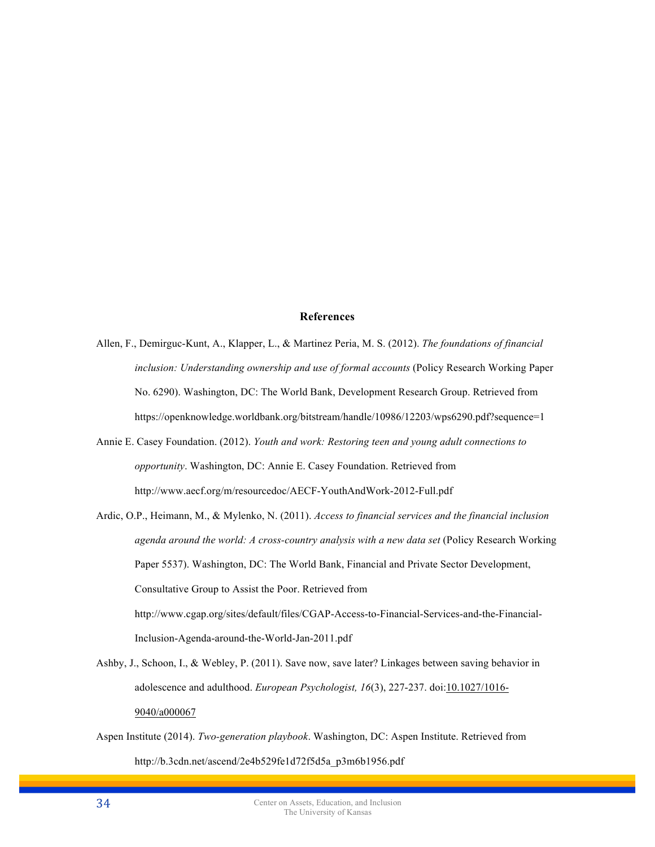# **References**

- Allen, F., Demirguc-Kunt, A., Klapper, L., & Martinez Peria, M. S. (2012). *The foundations of financial inclusion: Understanding ownership and use of formal accounts* (Policy Research Working Paper No. 6290). Washington, DC: The World Bank, Development Research Group. Retrieved from https://openknowledge.worldbank.org/bitstream/handle/10986/12203/wps6290.pdf?sequence=1
- Annie E. Casey Foundation. (2012). *Youth and work: Restoring teen and young adult connections to opportunity*. Washington, DC: Annie E. Casey Foundation. Retrieved from http://www.aecf.org/m/resourcedoc/AECF-YouthAndWork-2012-Full.pdf

Ardic, O.P., Heimann, M., & Mylenko, N. (2011). *Access to financial services and the financial inclusion agenda around the world: A cross-country analysis with a new data set* (Policy Research Working Paper 5537). Washington, DC: The World Bank, Financial and Private Sector Development, Consultative Group to Assist the Poor. Retrieved from http://www.cgap.org/sites/default/files/CGAP-Access-to-Financial-Services-and-the-Financial-Inclusion-Agenda-around-the-World-Jan-2011.pdf

Ashby, J., Schoon, I., & Webley, P. (2011). Save now, save later? Linkages between saving behavior in adolescence and adulthood. *European Psychologist, 16*(3), 227-237. doi:10.1027/1016- 9040/a000067

Aspen Institute (2014). *Two-generation playbook*. Washington, DC: Aspen Institute. Retrieved from http://b.3cdn.net/ascend/2e4b529fe1d72f5d5a\_p3m6b1956.pdf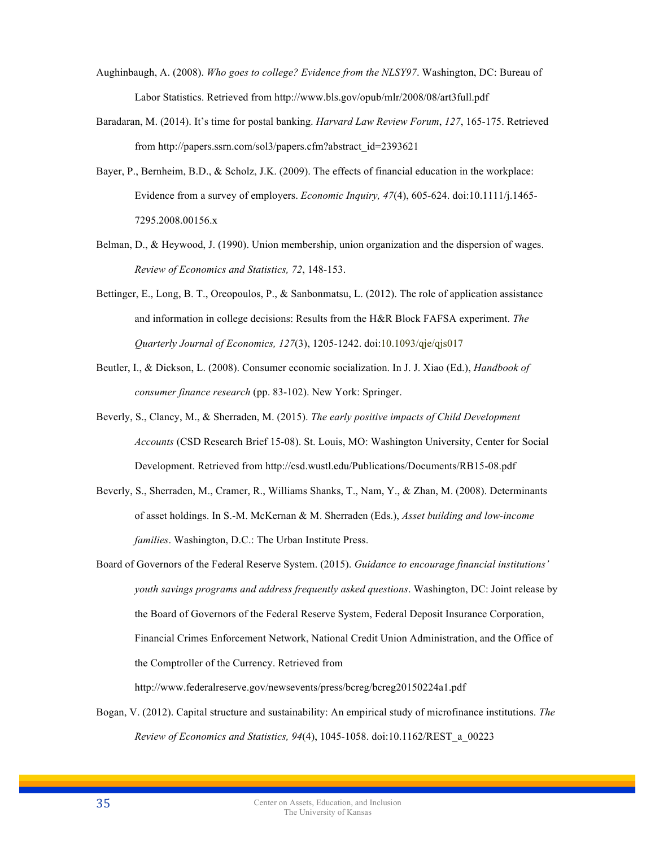- Aughinbaugh, A. (2008). *Who goes to college? Evidence from the NLSY97*. Washington, DC: Bureau of Labor Statistics. Retrieved from http://www.bls.gov/opub/mlr/2008/08/art3full.pdf
- Baradaran, M. (2014). It's time for postal banking. *Harvard Law Review Forum*, *127*, 165-175. Retrieved from http://papers.ssrn.com/sol3/papers.cfm?abstract\_id=2393621
- Bayer, P., Bernheim, B.D., & Scholz, J.K. (2009). The effects of financial education in the workplace: Evidence from a survey of employers. *Economic Inquiry, 47*(4), 605-624. doi:10.1111/j.1465- 7295.2008.00156.x
- Belman, D., & Heywood, J. (1990). Union membership, union organization and the dispersion of wages. *Review of Economics and Statistics, 72*, 148-153.
- Bettinger, E., Long, B. T., Oreopoulos, P., & Sanbonmatsu, L. (2012). The role of application assistance and information in college decisions: Results from the H&R Block FAFSA experiment. *The Quarterly Journal of Economics, 127*(3), 1205-1242. doi:10.1093/qje/qjs017
- Beutler, I., & Dickson, L. (2008). Consumer economic socialization. In J. J. Xiao (Ed.), *Handbook of consumer finance research* (pp. 83-102). New York: Springer.
- Beverly, S., Clancy, M., & Sherraden, M. (2015). *The early positive impacts of Child Development Accounts* (CSD Research Brief 15-08). St. Louis, MO: Washington University, Center for Social Development. Retrieved from http://csd.wustl.edu/Publications/Documents/RB15-08.pdf
- Beverly, S., Sherraden, M., Cramer, R., Williams Shanks, T., Nam, Y., & Zhan, M. (2008). Determinants of asset holdings. In S.-M. McKernan & M. Sherraden (Eds.), *Asset building and low-income families*. Washington, D.C.: The Urban Institute Press.
- Board of Governors of the Federal Reserve System. (2015). *Guidance to encourage financial institutions' youth savings programs and address frequently asked questions*. Washington, DC: Joint release by the Board of Governors of the Federal Reserve System, Federal Deposit Insurance Corporation, Financial Crimes Enforcement Network, National Credit Union Administration, and the Office of the Comptroller of the Currency. Retrieved from

http://www.federalreserve.gov/newsevents/press/bcreg/bcreg20150224a1.pdf

Bogan, V. (2012). Capital structure and sustainability: An empirical study of microfinance institutions. *The Review of Economics and Statistics, 94*(4), 1045-1058. doi:10.1162/REST\_a\_00223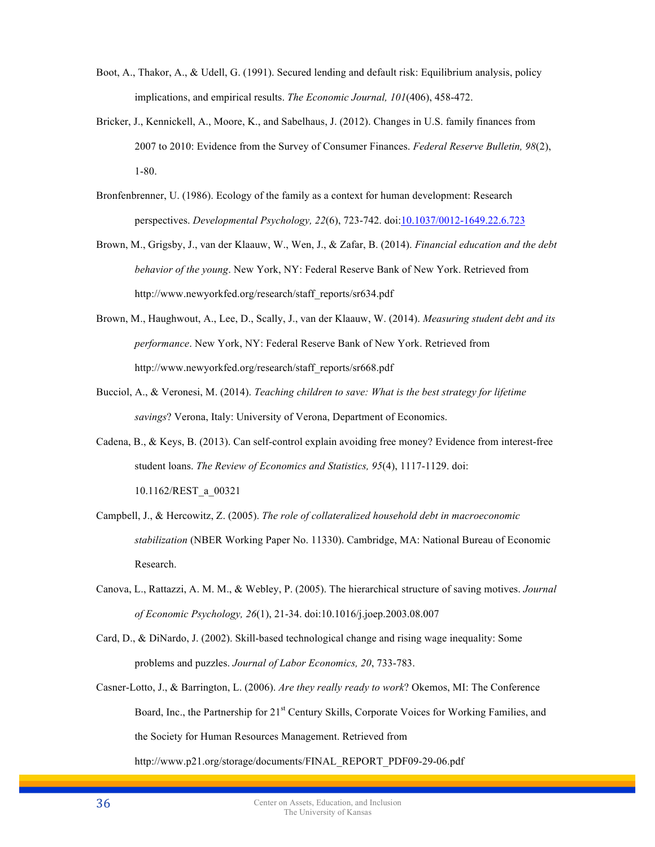- Boot, A., Thakor, A., & Udell, G. (1991). Secured lending and default risk: Equilibrium analysis, policy implications, and empirical results. *The Economic Journal, 101*(406), 458-472.
- Bricker, J., Kennickell, A., Moore, K., and Sabelhaus, J. (2012). Changes in U.S. family finances from 2007 to 2010: Evidence from the Survey of Consumer Finances. *Federal Reserve Bulletin, 98*(2), 1-80.
- Bronfenbrenner, U. (1986). Ecology of the family as a context for human development: Research perspectives. *Developmental Psychology, 22*(6), 723-742. doi:10.1037/0012-1649.22.6.723
- Brown, M., Grigsby, J., van der Klaauw, W., Wen, J., & Zafar, B. (2014). *Financial education and the debt behavior of the young*. New York, NY: Federal Reserve Bank of New York. Retrieved from http://www.newyorkfed.org/research/staff\_reports/sr634.pdf
- Brown, M., Haughwout, A., Lee, D., Scally, J., van der Klaauw, W. (2014). *Measuring student debt and its performance*. New York, NY: Federal Reserve Bank of New York. Retrieved from http://www.newyorkfed.org/research/staff\_reports/sr668.pdf
- Bucciol, A., & Veronesi, M. (2014). *Teaching children to save: What is the best strategy for lifetime savings*? Verona, Italy: University of Verona, Department of Economics.
- Cadena, B., & Keys, B. (2013). Can self-control explain avoiding free money? Evidence from interest-free student loans. *The Review of Economics and Statistics, 95*(4), 1117-1129. doi: 10.1162/REST\_a\_00321
- Campbell, J., & Hercowitz, Z. (2005). *The role of collateralized household debt in macroeconomic stabilization* (NBER Working Paper No. 11330). Cambridge, MA: National Bureau of Economic Research.
- Canova, L., Rattazzi, A. M. M., & Webley, P. (2005). The hierarchical structure of saving motives. *Journal of Economic Psychology, 26*(1), 21-34. doi:10.1016/j.joep.2003.08.007
- Card, D., & DiNardo, J. (2002). Skill-based technological change and rising wage inequality: Some problems and puzzles. *Journal of Labor Economics, 20*, 733-783.
- Casner-Lotto, J., & Barrington, L. (2006). *Are they really ready to work*? Okemos, MI: The Conference Board, Inc., the Partnership for 21<sup>st</sup> Century Skills, Corporate Voices for Working Families, and the Society for Human Resources Management. Retrieved from http://www.p21.org/storage/documents/FINAL\_REPORT\_PDF09-29-06.pdf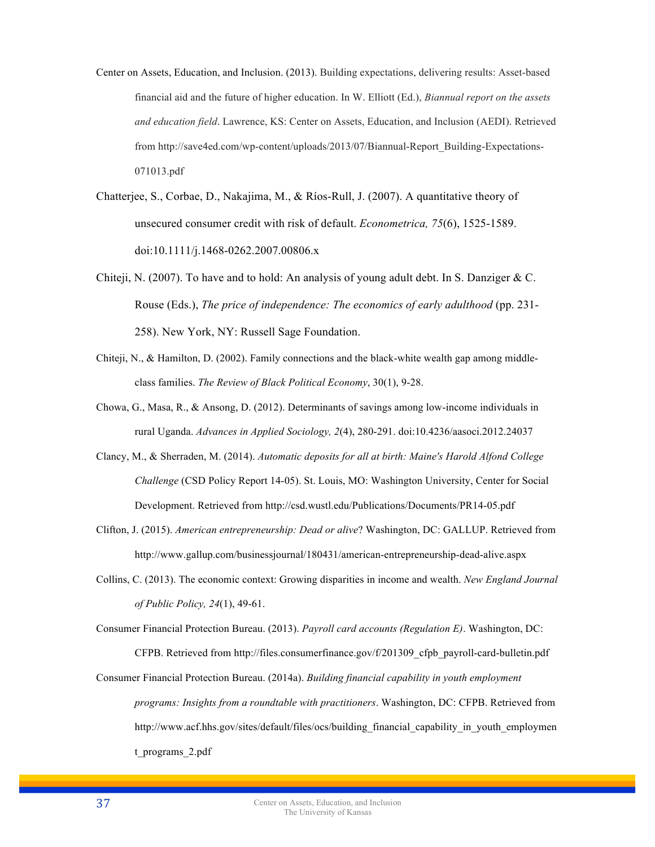- Center on Assets, Education, and Inclusion. (2013). Building expectations, delivering results: Asset-based financial aid and the future of higher education. In W. Elliott (Ed.), *Biannual report on the assets and education field*. Lawrence, KS: Center on Assets, Education, and Inclusion (AEDI). Retrieved from http://save4ed.com/wp-content/uploads/2013/07/Biannual-Report\_Building-Expectations-071013.pdf
- Chatterjee, S., Corbae, D., Nakajima, M., & Ríos-Rull, J. (2007). A quantitative theory of unsecured consumer credit with risk of default. *Econometrica, 75*(6), 1525-1589. doi:10.1111/j.1468-0262.2007.00806.x
- Chiteji, N. (2007). To have and to hold: An analysis of young adult debt. In S. Danziger  $& C$ . Rouse (Eds.), *The price of independence: The economics of early adulthood* (pp. 231- 258). New York, NY: Russell Sage Foundation.
- Chiteji, N., & Hamilton, D. (2002). Family connections and the black-white wealth gap among middleclass families. *The Review of Black Political Economy*, 30(1), 9-28.
- Chowa, G., Masa, R., & Ansong, D. (2012). Determinants of savings among low-income individuals in rural Uganda. *Advances in Applied Sociology, 2*(4), 280-291. doi:10.4236/aasoci.2012.24037
- Clancy, M., & Sherraden, M. (2014). *Automatic deposits for all at birth: Maine's Harold Alfond College Challenge* (CSD Policy Report 14-05). St. Louis, MO: Washington University, Center for Social Development. Retrieved from http://csd.wustl.edu/Publications/Documents/PR14-05.pdf
- Clifton, J. (2015). *American entrepreneurship: Dead or alive*? Washington, DC: GALLUP. Retrieved from http://www.gallup.com/businessjournal/180431/american-entrepreneurship-dead-alive.aspx
- Collins, C. (2013). The economic context: Growing disparities in income and wealth. *New England Journal of Public Policy, 24*(1), 49-61.
- Consumer Financial Protection Bureau. (2013). *Payroll card accounts (Regulation E)*. Washington, DC: CFPB. Retrieved from http://files.consumerfinance.gov/f/201309\_cfpb\_payroll-card-bulletin.pdf
- Consumer Financial Protection Bureau. (2014a). *Building financial capability in youth employment programs: Insights from a roundtable with practitioners*. Washington, DC: CFPB. Retrieved from http://www.acf.hhs.gov/sites/default/files/ocs/building financial capability in youth employmen t\_programs\_2.pdf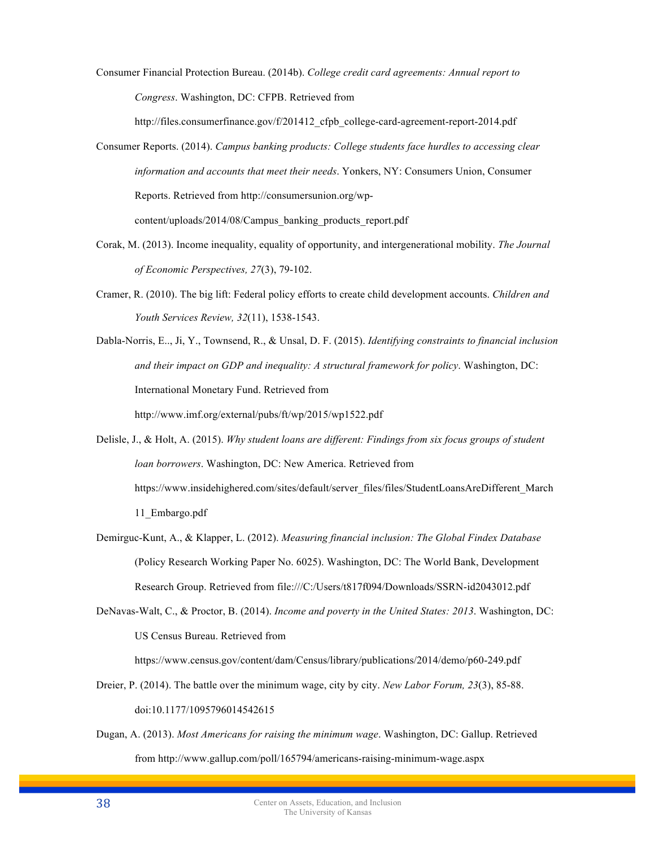Consumer Financial Protection Bureau. (2014b). *College credit card agreements: Annual report to Congress*. Washington, DC: CFPB. Retrieved from

http://files.consumerfinance.gov/f/201412 cfpb\_college-card-agreement-report-2014.pdf

- Consumer Reports. (2014). *Campus banking products: College students face hurdles to accessing clear information and accounts that meet their needs*. Yonkers, NY: Consumers Union, Consumer Reports. Retrieved from http://consumersunion.org/wpcontent/uploads/2014/08/Campus\_banking\_products\_report.pdf
- Corak, M. (2013). Income inequality, equality of opportunity, and intergenerational mobility. *The Journal of Economic Perspectives, 27*(3), 79-102.
- Cramer, R. (2010). The big lift: Federal policy efforts to create child development accounts. *Children and Youth Services Review, 32*(11), 1538-1543.

Dabla-Norris, E.., Ji, Y., Townsend, R., & Unsal, D. F. (2015). *Identifying constraints to financial inclusion and their impact on GDP and inequality: A structural framework for policy*. Washington, DC: International Monetary Fund. Retrieved from http://www.imf.org/external/pubs/ft/wp/2015/wp1522.pdf

Delisle, J., & Holt, A. (2015). *Why student loans are different: Findings from six focus groups of student loan borrowers*. Washington, DC: New America. Retrieved from https://www.insidehighered.com/sites/default/server\_files/files/StudentLoansAreDifferent\_March 11\_Embargo.pdf

- Demirguc-Kunt, A., & Klapper, L. (2012). *Measuring financial inclusion: The Global Findex Database* (Policy Research Working Paper No. 6025). Washington, DC: The World Bank, Development Research Group. Retrieved from file:///C:/Users/t817f094/Downloads/SSRN-id2043012.pdf
- DeNavas-Walt, C., & Proctor, B. (2014). *Income and poverty in the United States: 2013*. Washington, DC: US Census Bureau. Retrieved from

https://www.census.gov/content/dam/Census/library/publications/2014/demo/p60-249.pdf

- Dreier, P. (2014). The battle over the minimum wage, city by city. *New Labor Forum, 23*(3), 85-88. doi:10.1177/1095796014542615
- Dugan, A. (2013). *Most Americans for raising the minimum wage*. Washington, DC: Gallup. Retrieved from http://www.gallup.com/poll/165794/americans-raising-minimum-wage.aspx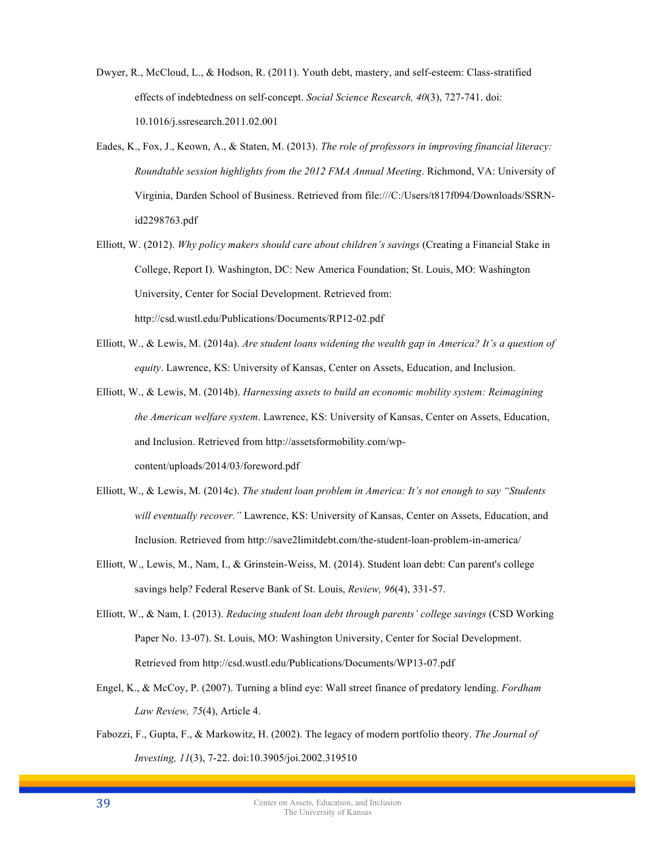- Dwyer, R., McCloud, L., & Hodson, R. (2011). Youth debt, mastery, and self-esteem: Class-stratified effects of indebtedness on self-concept. *Social Science Research, 40*(3), 727-741. doi: 10.1016/j.ssresearch.2011.02.001
- Eades, K., Fox, J., Keown, A., & Staten, M. (2013). *The role of professors in improving financial literacy: Roundtable session highlights from the 2012 FMA Annual Meeting*. Richmond, VA: University of Virginia, Darden School of Business. Retrieved from file:///C:/Users/t817f094/Downloads/SSRNid2298763.pdf
- Elliott, W. (2012). *Why policy makers should care about children's savings* (Creating a Financial Stake in College, Report I). Washington, DC: New America Foundation; St. Louis, MO: Washington University, Center for Social Development. Retrieved from: http://csd.wustl.edu/Publications/Documents/RP12-02.pdf
- Elliott, W., & Lewis, M. (2014a). *Are student loans widening the wealth gap in America? It's a question of equity*. Lawrence, KS: University of Kansas, Center on Assets, Education, and Inclusion.
- Elliott, W., & Lewis, M. (2014b). *Harnessing assets to build an economic mobility system: Reimagining the American welfare system*. Lawrence, KS: University of Kansas, Center on Assets, Education, and Inclusion. Retrieved from http://assetsformobility.com/wpcontent/uploads/2014/03/foreword.pdf
- Elliott, W., & Lewis, M. (2014c). *The student loan problem in America: It's not enough to say "Students will eventually recover."* Lawrence, KS: University of Kansas, Center on Assets, Education, and Inclusion. Retrieved from http://save2limitdebt.com/the-student-loan-problem-in-america/
- Elliott, W., Lewis, M., Nam, I., & Grinstein-Weiss, M. (2014). Student loan debt: Can parent's college savings help? Federal Reserve Bank of St. Louis, *Review, 96*(4), 331-57.
- Elliott, W., & Nam, I. (2013). *Reducing student loan debt through parents' college savings* (CSD Working Paper No. 13-07). St. Louis, MO: Washington University, Center for Social Development. Retrieved from http://csd.wustl.edu/Publications/Documents/WP13-07.pdf
- Engel, K., & McCoy, P. (2007). Turning a blind eye: Wall street finance of predatory lending. *Fordham Law Review, 75*(4), Article 4.
- Fabozzi, F., Gupta, F., & Markowitz, H. (2002). The legacy of modern portfolio theory. *The Journal of Investing, 11*(3), 7-22. doi:10.3905/joi.2002.319510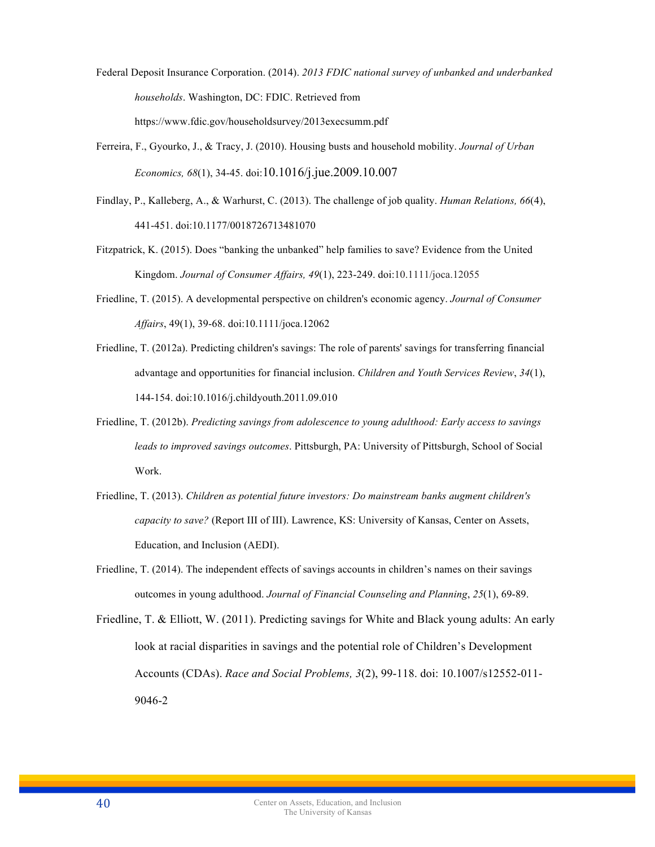- Federal Deposit Insurance Corporation. (2014). *2013 FDIC national survey of unbanked and underbanked households*. Washington, DC: FDIC. Retrieved from https://www.fdic.gov/householdsurvey/2013execsumm.pdf
- Ferreira, F., Gyourko, J., & Tracy, J. (2010). Housing busts and household mobility. *Journal of Urban Economics, 68*(1), 34-45. doi:10.1016/j.jue.2009.10.007
- Findlay, P., Kalleberg, A., & Warhurst, C. (2013). The challenge of job quality. *Human Relations, 66*(4), 441-451. doi:10.1177/0018726713481070
- Fitzpatrick, K. (2015). Does "banking the unbanked" help families to save? Evidence from the United Kingdom. *Journal of Consumer Affairs, 49*(1), 223-249. doi:10.1111/joca.12055
- Friedline, T. (2015). A developmental perspective on children's economic agency. *Journal of Consumer Affairs*, 49(1), 39-68. doi:10.1111/joca.12062
- Friedline, T. (2012a). Predicting children's savings: The role of parents' savings for transferring financial advantage and opportunities for financial inclusion. *Children and Youth Services Review*, *34*(1), 144-154. doi:10.1016/j.childyouth.2011.09.010
- Friedline, T. (2012b). *Predicting savings from adolescence to young adulthood: Early access to savings leads to improved savings outcomes*. Pittsburgh, PA: University of Pittsburgh, School of Social Work.
- Friedline, T. (2013). *Children as potential future investors: Do mainstream banks augment children's capacity to save?* (Report III of III). Lawrence, KS: University of Kansas, Center on Assets, Education, and Inclusion (AEDI).
- Friedline, T. (2014). The independent effects of savings accounts in children's names on their savings outcomes in young adulthood. *Journal of Financial Counseling and Planning*, *25*(1), 69-89.
- Friedline, T. & Elliott, W. (2011). Predicting savings for White and Black young adults: An early look at racial disparities in savings and the potential role of Children's Development Accounts (CDAs). *Race and Social Problems, 3*(2), 99-118. doi: 10.1007/s12552-011- 9046-2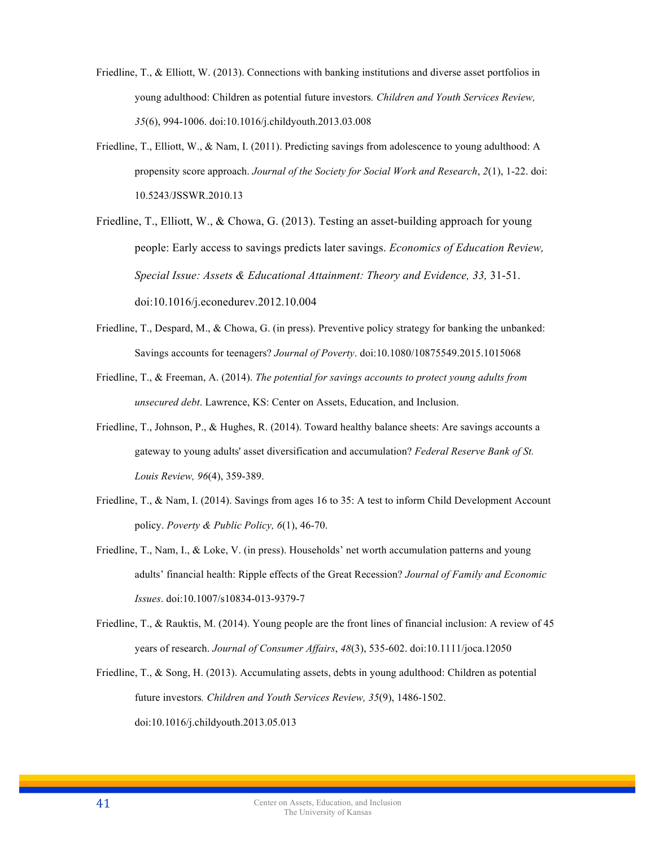- Friedline, T., & Elliott, W. (2013). Connections with banking institutions and diverse asset portfolios in young adulthood: Children as potential future investors*. Children and Youth Services Review, 35*(6), 994-1006. doi:10.1016/j.childyouth.2013.03.008
- Friedline, T., Elliott, W., & Nam, I. (2011). Predicting savings from adolescence to young adulthood: A propensity score approach. *Journal of the Society for Social Work and Research*, *2*(1), 1-22. doi: 10.5243/JSSWR.2010.13

Friedline, T., Elliott, W., & Chowa, G. (2013). Testing an asset-building approach for young people: Early access to savings predicts later savings. *Economics of Education Review, Special Issue: Assets & Educational Attainment: Theory and Evidence, 33,* 31-51. doi:10.1016/j.econedurev.2012.10.004

- Friedline, T., Despard, M., & Chowa, G. (in press). Preventive policy strategy for banking the unbanked: Savings accounts for teenagers? *Journal of Poverty*. doi:10.1080/10875549.2015.1015068
- Friedline, T., & Freeman, A. (2014). *The potential for savings accounts to protect young adults from unsecured debt*. Lawrence, KS: Center on Assets, Education, and Inclusion.
- Friedline, T., Johnson, P., & Hughes, R. (2014). Toward healthy balance sheets: Are savings accounts a gateway to young adults' asset diversification and accumulation? *Federal Reserve Bank of St. Louis Review, 96*(4), 359-389.
- Friedline, T., & Nam, I. (2014). Savings from ages 16 to 35: A test to inform Child Development Account policy. *Poverty & Public Policy, 6*(1), 46-70.
- Friedline, T., Nam, I., & Loke, V. (in press). Households' net worth accumulation patterns and young adults' financial health: Ripple effects of the Great Recession? *Journal of Family and Economic Issues*. doi:10.1007/s10834-013-9379-7
- Friedline, T., & Rauktis, M. (2014). Young people are the front lines of financial inclusion: A review of 45 years of research. *Journal of Consumer Affairs*, *48*(3), 535-602. doi:10.1111/joca.12050
- Friedline, T., & Song, H. (2013). Accumulating assets, debts in young adulthood: Children as potential future investors*. Children and Youth Services Review, 35*(9), 1486-1502. doi:10.1016/j.childyouth.2013.05.013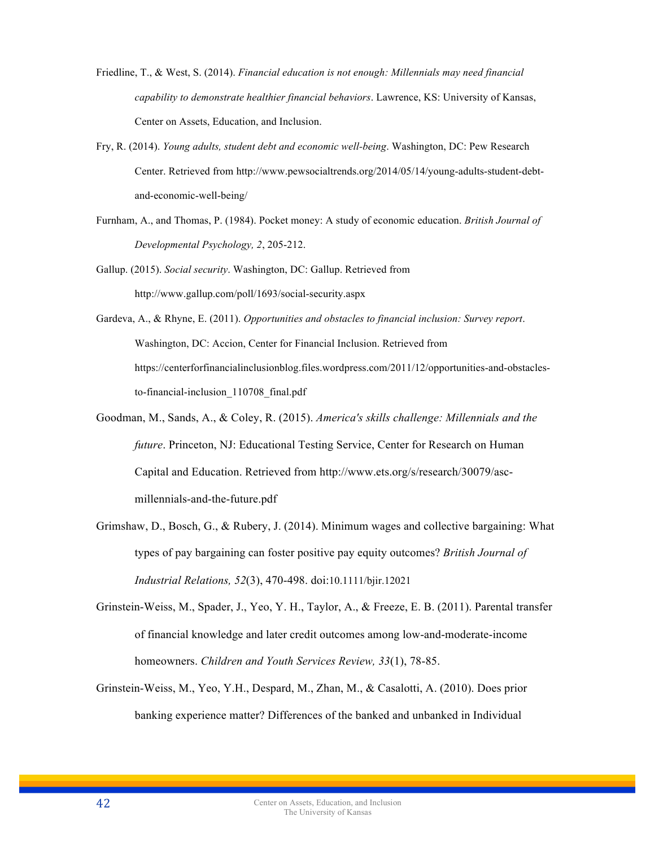- Friedline, T., & West, S. (2014). *Financial education is not enough: Millennials may need financial capability to demonstrate healthier financial behaviors*. Lawrence, KS: University of Kansas, Center on Assets, Education, and Inclusion.
- Fry, R. (2014). *Young adults, student debt and economic well-being*. Washington, DC: Pew Research Center. Retrieved from http://www.pewsocialtrends.org/2014/05/14/young-adults-student-debtand-economic-well-being/
- Furnham, A., and Thomas, P. (1984). Pocket money: A study of economic education. *British Journal of Developmental Psychology, 2*, 205-212.
- Gallup. (2015). *Social security*. Washington, DC: Gallup. Retrieved from http://www.gallup.com/poll/1693/social-security.aspx
- Gardeva, A., & Rhyne, E. (2011). *Opportunities and obstacles to financial inclusion: Survey report*. Washington, DC: Accion, Center for Financial Inclusion. Retrieved from https://centerforfinancialinclusionblog.files.wordpress.com/2011/12/opportunities-and-obstaclesto-financial-inclusion\_110708\_final.pdf
- Goodman, M., Sands, A., & Coley, R. (2015). *America's skills challenge: Millennials and the future*. Princeton, NJ: Educational Testing Service, Center for Research on Human Capital and Education. Retrieved from http://www.ets.org/s/research/30079/ascmillennials-and-the-future.pdf
- Grimshaw, D., Bosch, G., & Rubery, J. (2014). Minimum wages and collective bargaining: What types of pay bargaining can foster positive pay equity outcomes? *British Journal of Industrial Relations, 52*(3), 470-498. doi:10.1111/bjir.12021
- Grinstein-Weiss, M., Spader, J., Yeo, Y. H., Taylor, A., & Freeze, E. B. (2011). Parental transfer of financial knowledge and later credit outcomes among low-and-moderate-income homeowners. *Children and Youth Services Review, 33*(1), 78-85.
- Grinstein-Weiss, M., Yeo, Y.H., Despard, M., Zhan, M., & Casalotti, A. (2010). Does prior banking experience matter? Differences of the banked and unbanked in Individual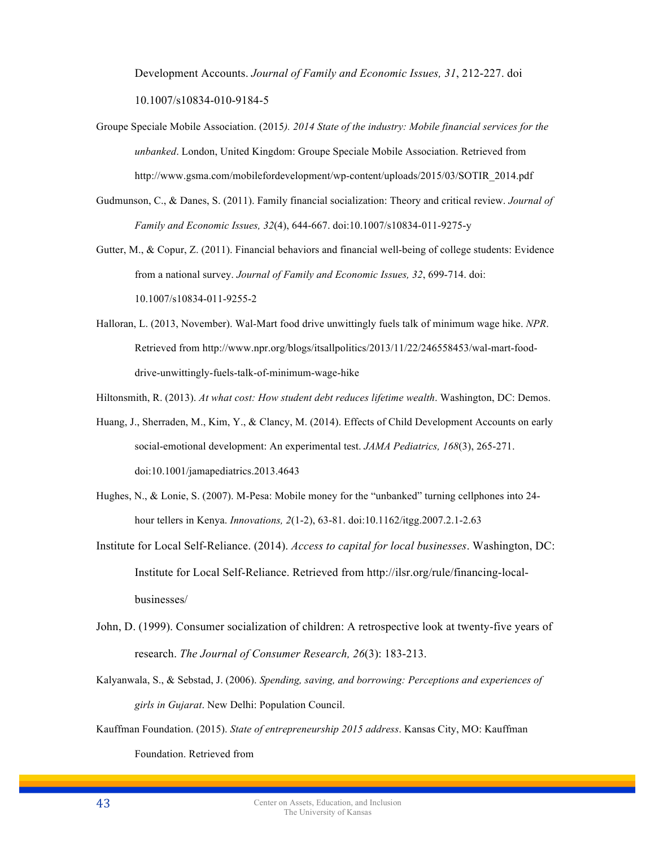Development Accounts. *Journal of Family and Economic Issues, 31*, 212-227. doi 10.1007/s10834-010-9184-5

- Groupe Speciale Mobile Association. (2015*). 2014 State of the industry: Mobile financial services for the unbanked*. London, United Kingdom: Groupe Speciale Mobile Association. Retrieved from http://www.gsma.com/mobilefordevelopment/wp-content/uploads/2015/03/SOTIR\_2014.pdf
- Gudmunson, C., & Danes, S. (2011). Family financial socialization: Theory and critical review. *Journal of Family and Economic Issues, 32*(4), 644-667. doi:10.1007/s10834-011-9275-y
- Gutter, M., & Copur, Z. (2011). Financial behaviors and financial well-being of college students: Evidence from a national survey. *Journal of Family and Economic Issues, 32*, 699-714. doi: 10.1007/s10834-011-9255-2
- Halloran, L. (2013, November). Wal-Mart food drive unwittingly fuels talk of minimum wage hike. *NPR*. Retrieved from http://www.npr.org/blogs/itsallpolitics/2013/11/22/246558453/wal-mart-fooddrive-unwittingly-fuels-talk-of-minimum-wage-hike
- Hiltonsmith, R. (2013). *At what cost: How student debt reduces lifetime wealth*. Washington, DC: Demos.
- Huang, J., Sherraden, M., Kim, Y., & Clancy, M. (2014). Effects of Child Development Accounts on early social-emotional development: An experimental test. *JAMA Pediatrics, 168*(3), 265-271. doi:10.1001/jamapediatrics.2013.4643
- Hughes, N., & Lonie, S. (2007). M-Pesa: Mobile money for the "unbanked" turning cellphones into 24 hour tellers in Kenya. *Innovations, 2*(1-2), 63-81. doi:10.1162/itgg.2007.2.1-2.63
- Institute for Local Self-Reliance. (2014). *Access to capital for local businesses*. Washington, DC: Institute for Local Self-Reliance. Retrieved from http://ilsr.org/rule/financing-localbusinesses/
- John, D. (1999). Consumer socialization of children: A retrospective look at twenty-five years of research. *The Journal of Consumer Research, 26*(3): 183-213.
- Kalyanwala, S., & Sebstad, J. (2006). *Spending, saving, and borrowing: Perceptions and experiences of girls in Gujarat*. New Delhi: Population Council.
- Kauffman Foundation. (2015). *State of entrepreneurship 2015 address*. Kansas City, MO: Kauffman Foundation. Retrieved from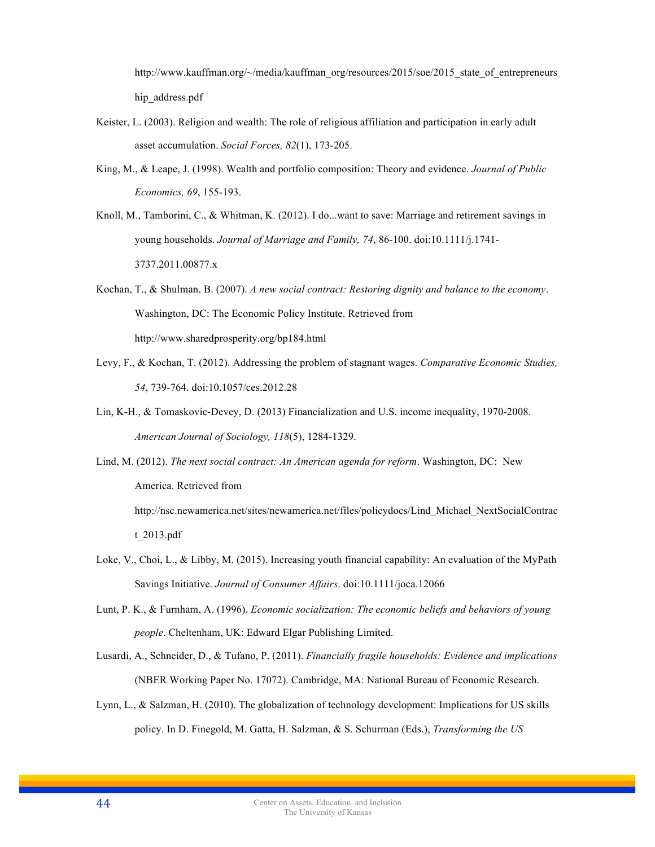http://www.kauffman.org/~/media/kauffman\_org/resources/2015/soe/2015\_state\_of\_entrepreneurs hip\_address.pdf

- Keister, L. (2003). Religion and wealth: The role of religious affiliation and participation in early adult asset accumulation. *Social Forces, 82*(1), 173-205.
- King, M., & Leape, J. (1998). Wealth and portfolio composition: Theory and evidence. *Journal of Public Economics, 69*, 155-193.
- Knoll, M., Tamborini, C., & Whitman, K. (2012). I do...want to save: Marriage and retirement savings in young households. *Journal of Marriage and Family, 74*, 86-100. doi:10.1111/j.1741- 3737.2011.00877.x

Kochan, T., & Shulman, B. (2007). *A new social contract: Restoring dignity and balance to the economy*. Washington, DC: The Economic Policy Institute. Retrieved from http://www.sharedprosperity.org/bp184.html

- Levy, F., & Kochan, T. (2012). Addressing the problem of stagnant wages. *Comparative Economic Studies, 54*, 739-764. doi:10.1057/ces.2012.28
- Lin, K-H., & Tomaskovic-Devey, D. (2013) Financialization and U.S. income inequality, 1970-2008. *American Journal of Sociology, 118*(5), 1284-1329.
- Lind, M. (2012). *The next social contract: An American agenda for reform*. Washington, DC: New America. Retrieved from

http://nsc.newamerica.net/sites/newamerica.net/files/policydocs/Lind\_Michael\_NextSocialContrac t\_2013.pdf

- Loke, V., Choi, L., & Libby, M. (2015). Increasing youth financial capability: An evaluation of the MyPath Savings Initiative. *Journal of Consumer Affairs*. doi:10.1111/joca.12066
- Lunt, P. K., & Furnham, A. (1996). *Economic socialization: The economic beliefs and behaviors of young people*. Cheltenham, UK: Edward Elgar Publishing Limited.
- Lusardi, A., Schneider, D., & Tufano, P. (2011). *Financially fragile households: Evidence and implications* (NBER Working Paper No. 17072). Cambridge, MA: National Bureau of Economic Research.
- Lynn, L., & Salzman, H. (2010). The globalization of technology development: Implications for US skills policy. In D. Finegold, M. Gatta, H. Salzman, & S. Schurman (Eds.), *Transforming the US*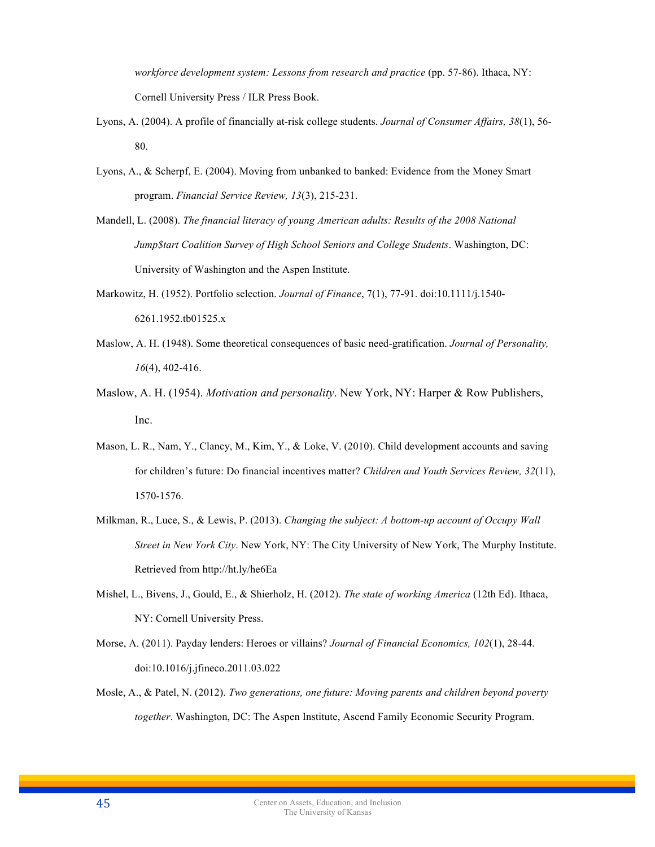*workforce development system: Lessons from research and practice* (pp. 57-86). Ithaca, NY: Cornell University Press / ILR Press Book.

- Lyons, A. (2004). A profile of financially at-risk college students. *Journal of Consumer Affairs, 38*(1), 56- 80.
- Lyons, A., & Scherpf, E. (2004). Moving from unbanked to banked: Evidence from the Money Smart program. *Financial Service Review, 13*(3), 215-231.
- Mandell, L. (2008). *The financial literacy of young American adults: Results of the 2008 National Jump\$tart Coalition Survey of High School Seniors and College Students*. Washington, DC: University of Washington and the Aspen Institute.
- Markowitz, H. (1952). Portfolio selection. *Journal of Finance*, 7(1), 77-91. doi:10.1111/j.1540- 6261.1952.tb01525.x
- Maslow, A. H. (1948). Some theoretical consequences of basic need-gratification. *Journal of Personality, 16*(4), 402-416.
- Maslow, A. H. (1954). *Motivation and personality*. New York, NY: Harper & Row Publishers, Inc.
- Mason, L. R., Nam, Y., Clancy, M., Kim, Y., & Loke, V. (2010). Child development accounts and saving for children's future: Do financial incentives matter? *Children and Youth Services Review, 32*(11), 1570-1576.
- Milkman, R., Luce, S., & Lewis, P. (2013). *Changing the subject: A bottom-up account of Occupy Wall Street in New York City*. New York, NY: The City University of New York, The Murphy Institute. Retrieved from http://ht.ly/he6Ea
- Mishel, L., Bivens, J., Gould, E., & Shierholz, H. (2012). *The state of working America* (12th Ed). Ithaca, NY: Cornell University Press.
- Morse, A. (2011). Payday lenders: Heroes or villains? *Journal of Financial Economics, 102*(1), 28-44. doi:10.1016/j.jfineco.2011.03.022
- Mosle, A., & Patel, N. (2012). *Two generations, one future: Moving parents and children beyond poverty together*. Washington, DC: The Aspen Institute, Ascend Family Economic Security Program.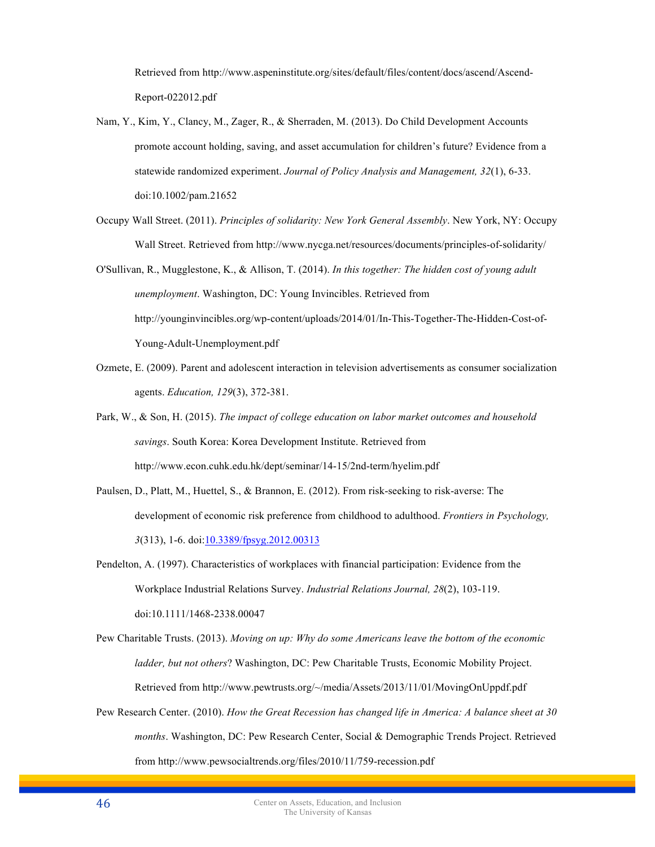Retrieved from http://www.aspeninstitute.org/sites/default/files/content/docs/ascend/Ascend-Report-022012.pdf

- Nam, Y., Kim, Y., Clancy, M., Zager, R., & Sherraden, M. (2013). Do Child Development Accounts promote account holding, saving, and asset accumulation for children's future? Evidence from a statewide randomized experiment. *Journal of Policy Analysis and Management, 32*(1), 6-33. doi:10.1002/pam.21652
- Occupy Wall Street. (2011). *Principles of solidarity: New York General Assembly*. New York, NY: Occupy Wall Street. Retrieved from http://www.nycga.net/resources/documents/principles-of-solidarity/

O'Sullivan, R., Mugglestone, K., & Allison, T. (2014). *In this together: The hidden cost of young adult unemployment*. Washington, DC: Young Invincibles. Retrieved from http://younginvincibles.org/wp-content/uploads/2014/01/In-This-Together-The-Hidden-Cost-of-Young-Adult-Unemployment.pdf

- Ozmete, E. (2009). Parent and adolescent interaction in television advertisements as consumer socialization agents. *Education, 129*(3), 372-381.
- Park, W., & Son, H. (2015). *The impact of college education on labor market outcomes and household savings*. South Korea: Korea Development Institute. Retrieved from http://www.econ.cuhk.edu.hk/dept/seminar/14-15/2nd-term/hyelim.pdf
- Paulsen, D., Platt, M., Huettel, S., & Brannon, E. (2012). From risk-seeking to risk-averse: The development of economic risk preference from childhood to adulthood. *Frontiers in Psychology, 3*(313), 1-6. doi:10.3389/fpsyg.2012.00313
- Pendelton, A. (1997). Characteristics of workplaces with financial participation: Evidence from the Workplace Industrial Relations Survey. *Industrial Relations Journal, 28*(2), 103-119. doi:10.1111/1468-2338.00047

Pew Charitable Trusts. (2013). *Moving on up: Why do some Americans leave the bottom of the economic ladder, but not others*? Washington, DC: Pew Charitable Trusts, Economic Mobility Project. Retrieved from http://www.pewtrusts.org/~/media/Assets/2013/11/01/MovingOnUppdf.pdf

Pew Research Center. (2010). *How the Great Recession has changed life in America: A balance sheet at 30 months*. Washington, DC: Pew Research Center, Social & Demographic Trends Project. Retrieved from http://www.pewsocialtrends.org/files/2010/11/759-recession.pdf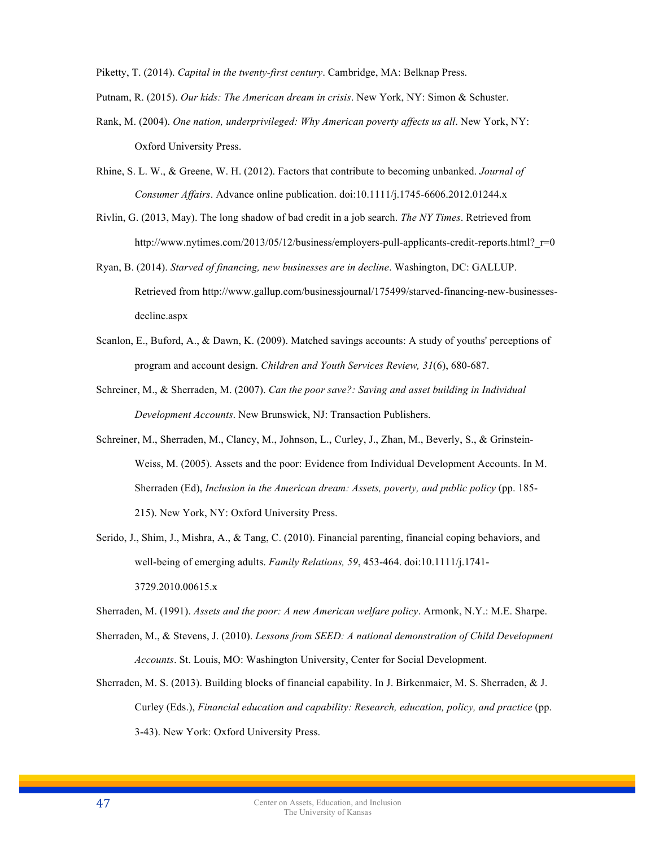Piketty, T. (2014). *Capital in the twenty-first century*. Cambridge, MA: Belknap Press.

Putnam, R. (2015). *Our kids: The American dream in crisis*. New York, NY: Simon & Schuster.

- Rank, M. (2004). *One nation, underprivileged: Why American poverty affects us all*. New York, NY: Oxford University Press.
- Rhine, S. L. W., & Greene, W. H. (2012). Factors that contribute to becoming unbanked. *Journal of Consumer Affairs*. Advance online publication. doi:10.1111/j.1745-6606.2012.01244.x
- Rivlin, G. (2013, May). The long shadow of bad credit in a job search. *The NY Times*. Retrieved from http://www.nytimes.com/2013/05/12/business/employers-pull-applicants-credit-reports.html? $r=0$
- Ryan, B. (2014). *Starved of financing, new businesses are in decline*. Washington, DC: GALLUP. Retrieved from http://www.gallup.com/businessjournal/175499/starved-financing-new-businessesdecline.aspx
- Scanlon, E., Buford, A., & Dawn, K. (2009). Matched savings accounts: A study of youths' perceptions of program and account design. *Children and Youth Services Review, 31*(6), 680-687.
- Schreiner, M., & Sherraden, M. (2007). *Can the poor save?: Saving and asset building in Individual Development Accounts*. New Brunswick, NJ: Transaction Publishers.
- Schreiner, M., Sherraden, M., Clancy, M., Johnson, L., Curley, J., Zhan, M., Beverly, S., & Grinstein-Weiss, M. (2005). Assets and the poor: Evidence from Individual Development Accounts. In M. Sherraden (Ed), *Inclusion in the American dream: Assets, poverty, and public policy* (pp. 185- 215). New York, NY: Oxford University Press.
- Serido, J., Shim, J., Mishra, A., & Tang, C. (2010). Financial parenting, financial coping behaviors, and well-being of emerging adults. *Family Relations, 59*, 453-464. doi:10.1111/j.1741- 3729.2010.00615.x

Sherraden, M. (1991). *Assets and the poor: A new American welfare policy*. Armonk, N.Y.: M.E. Sharpe.

- Sherraden, M., & Stevens, J. (2010). *Lessons from SEED: A national demonstration of Child Development Accounts*. St. Louis, MO: Washington University, Center for Social Development.
- Sherraden, M. S. (2013). Building blocks of financial capability. In J. Birkenmaier, M. S. Sherraden, & J. Curley (Eds.), *Financial education and capability: Research, education, policy, and practice* (pp. 3-43). New York: Oxford University Press.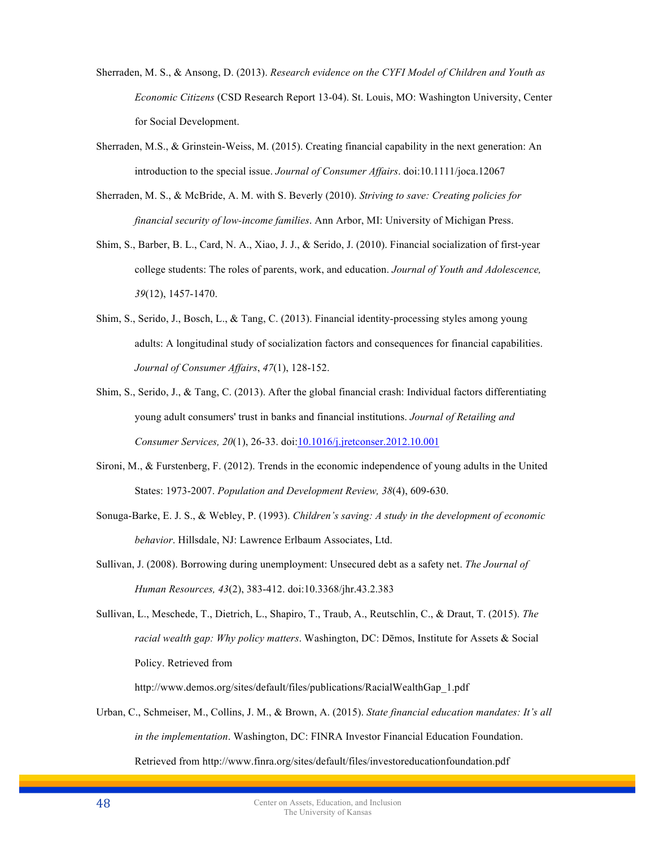- Sherraden, M. S., & Ansong, D. (2013). *Research evidence on the CYFI Model of Children and Youth as Economic Citizens* (CSD Research Report 13-04). St. Louis, MO: Washington University, Center for Social Development.
- Sherraden, M.S., & Grinstein-Weiss, M. (2015). Creating financial capability in the next generation: An introduction to the special issue. *Journal of Consumer Affairs*. doi:10.1111/joca.12067
- Sherraden, M. S., & McBride, A. M. with S. Beverly (2010). *Striving to save: Creating policies for financial security of low-income families*. Ann Arbor, MI: University of Michigan Press.
- Shim, S., Barber, B. L., Card, N. A., Xiao, J. J., & Serido, J. (2010). Financial socialization of first-year college students: The roles of parents, work, and education. *Journal of Youth and Adolescence, 39*(12), 1457-1470.
- Shim, S., Serido, J., Bosch, L., & Tang, C. (2013). Financial identity-processing styles among young adults: A longitudinal study of socialization factors and consequences for financial capabilities. *Journal of Consumer Affairs*, *47*(1), 128-152.
- Shim, S., Serido, J., & Tang, C. (2013). After the global financial crash: Individual factors differentiating young adult consumers' trust in banks and financial institutions. *Journal of Retailing and Consumer Services, 20*(1), 26-33. doi:10.1016/j.jretconser.2012.10.001
- Sironi, M., & Furstenberg, F. (2012). Trends in the economic independence of young adults in the United States: 1973-2007. *Population and Development Review, 38*(4), 609-630.
- Sonuga-Barke, E. J. S., & Webley, P. (1993). *Children's saving: A study in the development of economic behavior*. Hillsdale, NJ: Lawrence Erlbaum Associates, Ltd.
- Sullivan, J. (2008). Borrowing during unemployment: Unsecured debt as a safety net. *The Journal of Human Resources, 43*(2), 383-412. doi:10.3368/jhr.43.2.383

Sullivan, L., Meschede, T., Dietrich, L., Shapiro, T., Traub, A., Reutschlin, C., & Draut, T. (2015). *The racial wealth gap: Why policy matters*. Washington, DC: Dēmos, Institute for Assets & Social Policy. Retrieved from

http://www.demos.org/sites/default/files/publications/RacialWealthGap\_1.pdf

Urban, C., Schmeiser, M., Collins, J. M., & Brown, A. (2015). *State financial education mandates: It's all in the implementation*. Washington, DC: FINRA Investor Financial Education Foundation. Retrieved from http://www.finra.org/sites/default/files/investoreducationfoundation.pdf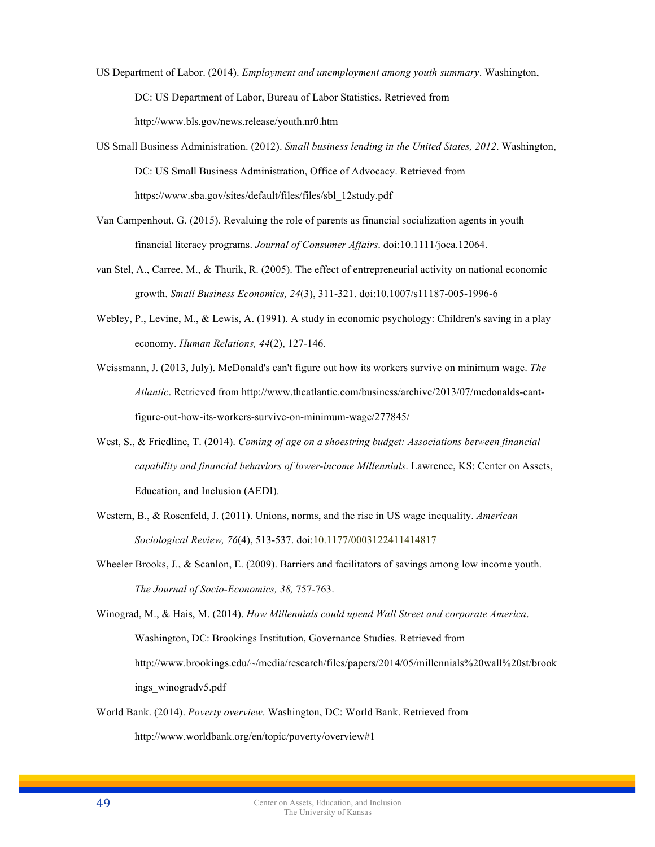- US Department of Labor. (2014). *Employment and unemployment among youth summary*. Washington, DC: US Department of Labor, Bureau of Labor Statistics. Retrieved from http://www.bls.gov/news.release/youth.nr0.htm
- US Small Business Administration. (2012). *Small business lending in the United States, 2012*. Washington, DC: US Small Business Administration, Office of Advocacy. Retrieved from https://www.sba.gov/sites/default/files/files/sbl\_12study.pdf
- Van Campenhout, G. (2015). Revaluing the role of parents as financial socialization agents in youth financial literacy programs. *Journal of Consumer Affairs*. doi:10.1111/joca.12064.
- van Stel, A., Carree, M., & Thurik, R. (2005). The effect of entrepreneurial activity on national economic growth. *Small Business Economics, 24*(3), 311-321. doi:10.1007/s11187-005-1996-6
- Webley, P., Levine, M., & Lewis, A. (1991). A study in economic psychology: Children's saving in a play economy. *Human Relations, 44*(2), 127-146.
- Weissmann, J. (2013, July). McDonald's can't figure out how its workers survive on minimum wage. *The Atlantic*. Retrieved from http://www.theatlantic.com/business/archive/2013/07/mcdonalds-cantfigure-out-how-its-workers-survive-on-minimum-wage/277845/
- West, S., & Friedline, T. (2014). *Coming of age on a shoestring budget: Associations between financial capability and financial behaviors of lower-income Millennials*. Lawrence, KS: Center on Assets, Education, and Inclusion (AEDI).
- Western, B., & Rosenfeld, J. (2011). Unions, norms, and the rise in US wage inequality. *American Sociological Review, 76*(4), 513-537. doi:10.1177/0003122411414817
- Wheeler Brooks, J., & Scanlon, E. (2009). Barriers and facilitators of savings among low income youth. *The Journal of Socio-Economics, 38,* 757-763.

Winograd, M., & Hais, M. (2014). *How Millennials could upend Wall Street and corporate America*. Washington, DC: Brookings Institution, Governance Studies. Retrieved from http://www.brookings.edu/~/media/research/files/papers/2014/05/millennials%20wall%20st/brook ings\_winogradv5.pdf

World Bank. (2014). *Poverty overview*. Washington, DC: World Bank. Retrieved from http://www.worldbank.org/en/topic/poverty/overview#1